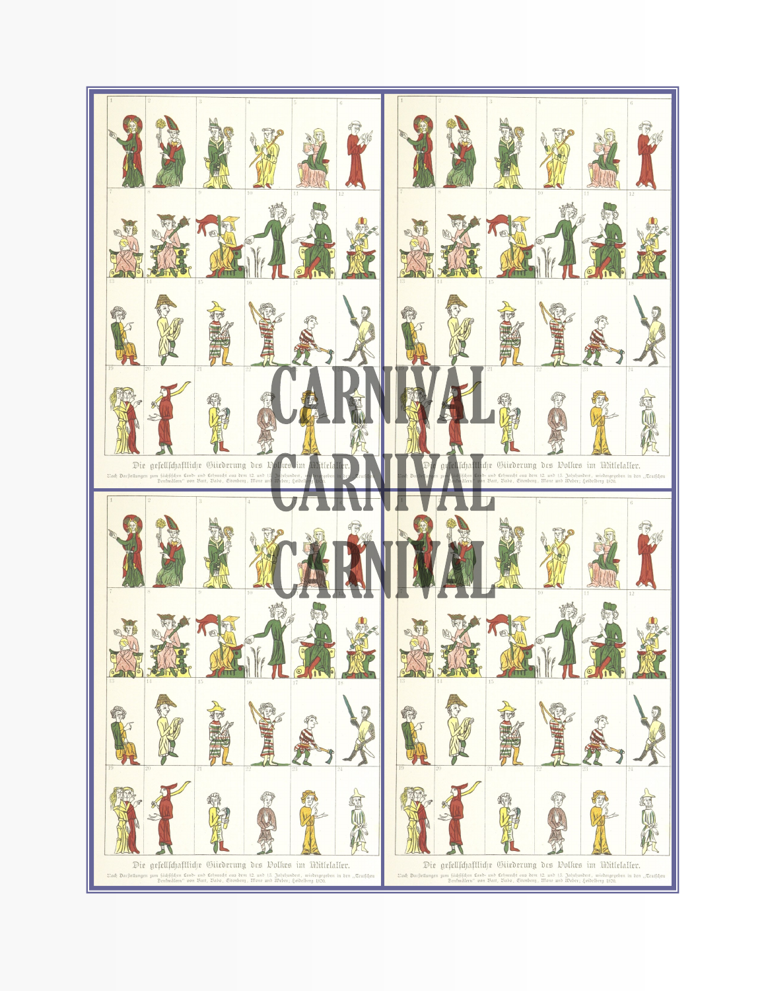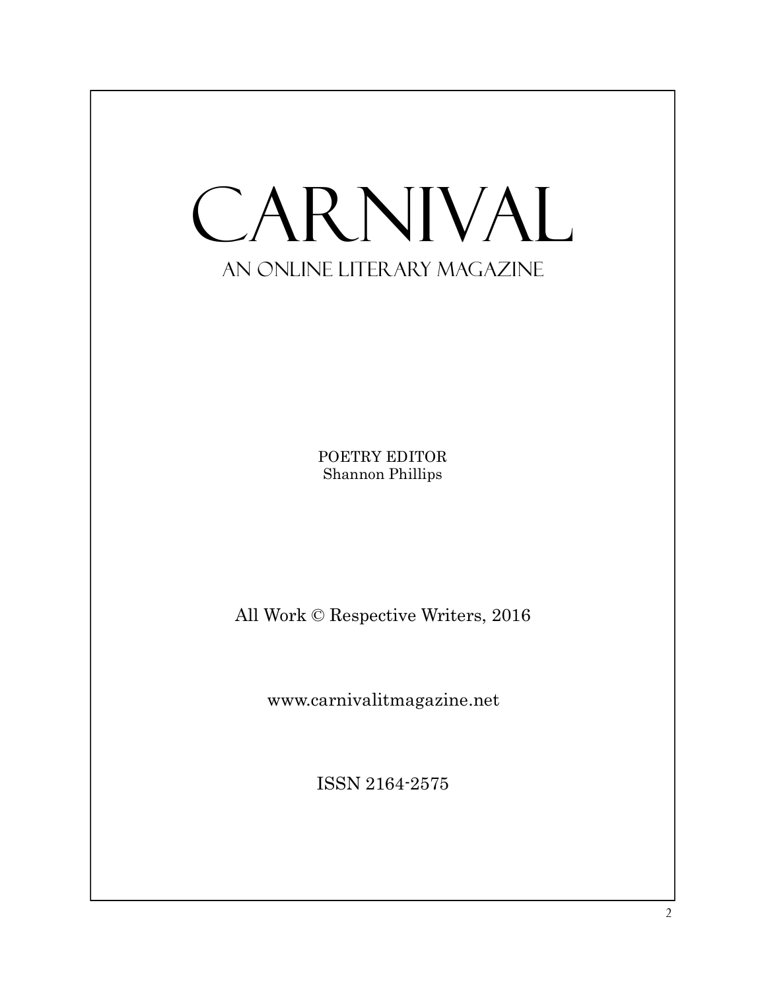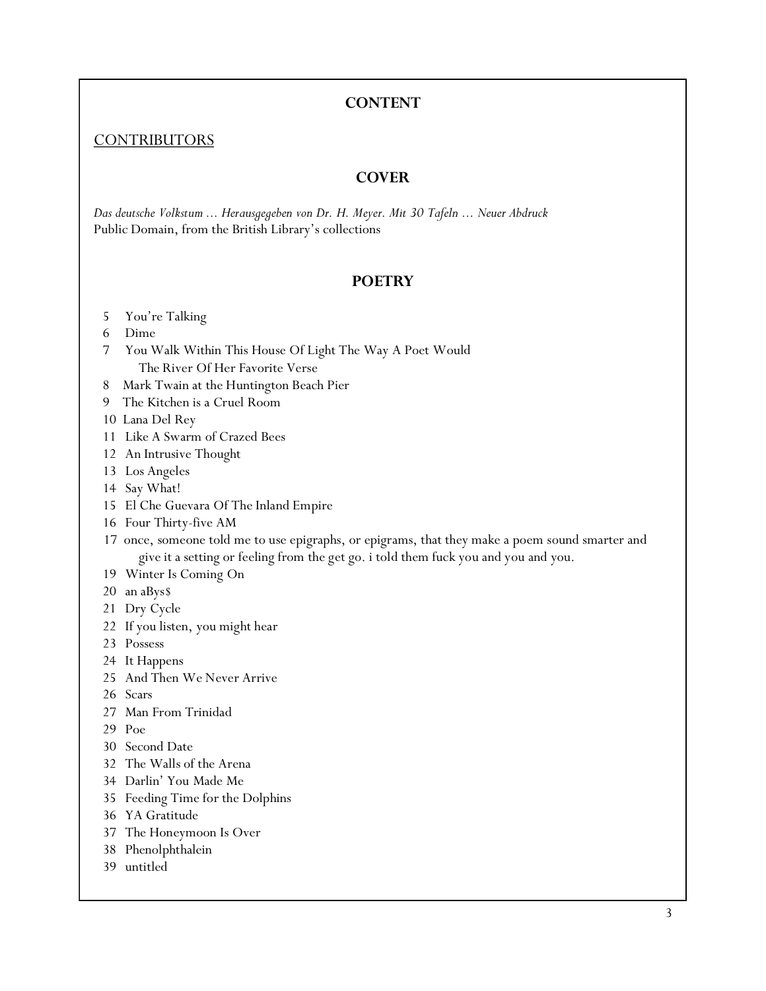#### **CONTENT**

#### **[CONTRIBUTORS](http://carnivalitmagazine.net/contributors/)**

#### **COVER**

*Das deutsche Volkstum ... Herausgegeben von Dr. H. Meyer. Mit 30 Tafeln ... Neuer Abdruck*  Public Domain, from the British Library's collections

#### **POETRY**

- You're Talking
- Dime
- You Walk Within This House Of Light The Way A Poet Would The River Of Her Favorite Verse
- 8 Mark Twain at the Huntington Beach Pier
- 9 The Kitchen is a Cruel Room
- 10 Lana Del Rey
- Like A Swarm of Crazed Bees
- An Intrusive Thought
- Los Angeles
- Say What!
- El Che Guevara Of The Inland Empire
- Four Thirty-five AM
- 17 once, someone told me to use epigraphs, or epigrams, that they make a poem sound smarter and give it a setting or feeling from the get go. i told them fuck you and you and you.
- Winter Is Coming On
- an aBys\$
- Dry Cycle
- If you listen, you might hear
- Possess
- It Happens
- And Then We Never Arrive
- Scars
- Man From Trinidad
- Poe
- Second Date
- The Walls of the Arena
- Darlin' You Made Me
- Feeding Time for the Dolphins
- YA Gratitude
- The Honeymoon Is Over
- Phenolphthalein
- untitled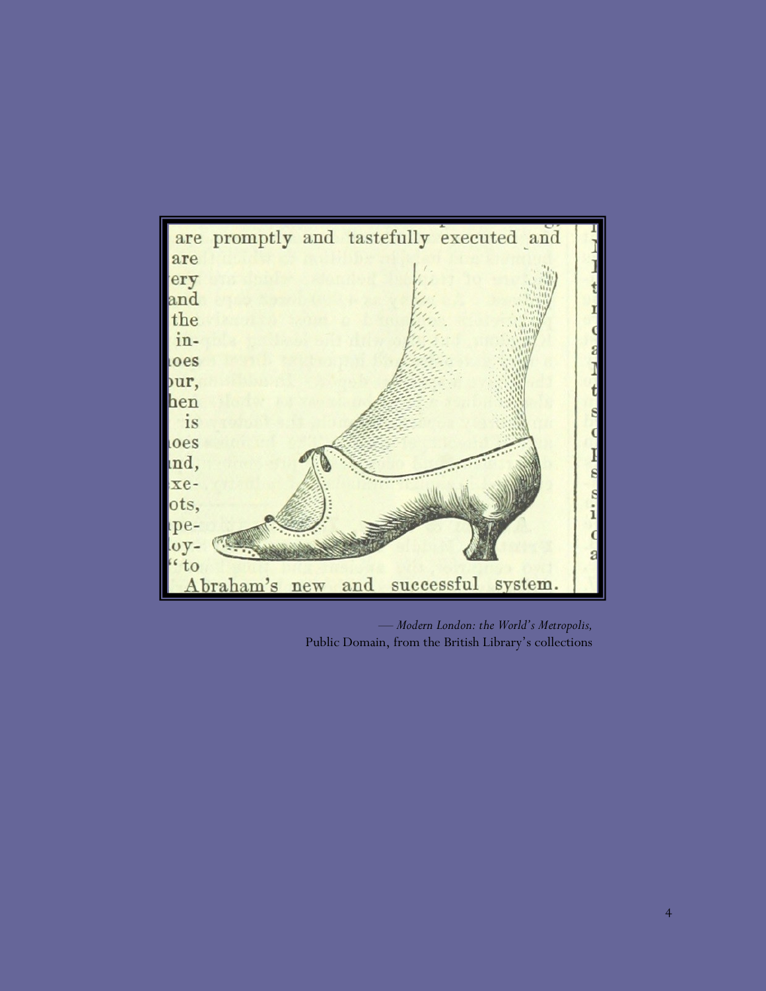

*— Modern London: the World's Metropolis,*  Public Domain, from the British Library's collections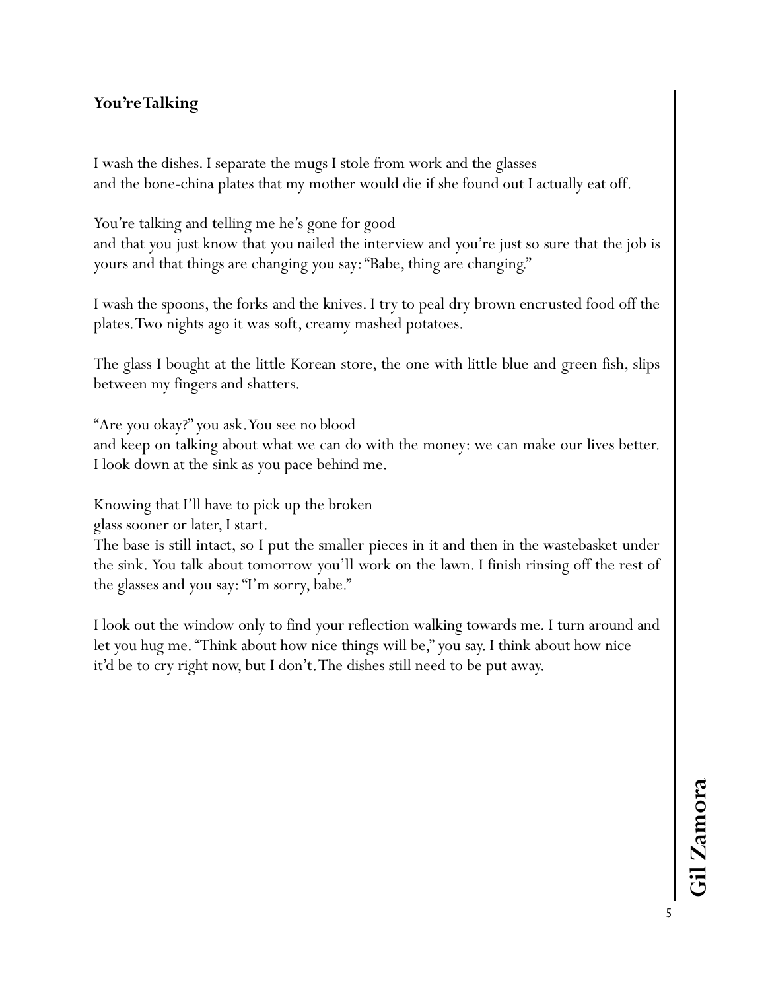# **You're Talking**

I wash the dishes. I separate the mugs I stole from work and the glasses and the bone-china plates that my mother would die if she found out I actually eat off.

You're talking and telling me he's gone for good

and that you just know that you nailed the interview and you're just so sure that the job is yours and that things are changing you say: "Babe, thing are changing."

I wash the spoons, the forks and the knives. I try to peal dry brown encrusted food off the plates. Two nights ago it was soft, creamy mashed potatoes.

The glass I bought at the little Korean store, the one with little blue and green fish, slips between my fingers and shatters.

"Are you okay?" you ask. You see no blood

and keep on talking about what we can do with the money: we can make our lives better. I look down at the sink as you pace behind me.

Knowing that I'll have to pick up the broken

glass sooner or later, I start.

The base is still intact, so I put the smaller pieces in it and then in the wastebasket under the sink. You talk about tomorrow you'll work on the lawn. I finish rinsing off the rest of the glasses and you say: "I'm sorry, babe."

I look out the window only to find your reflection walking towards me. I turn around and let you hug me. "Think about how nice things will be," you say. I think about how nice it'd be to cry right now, but I don't. The dishes still need to be put away.

5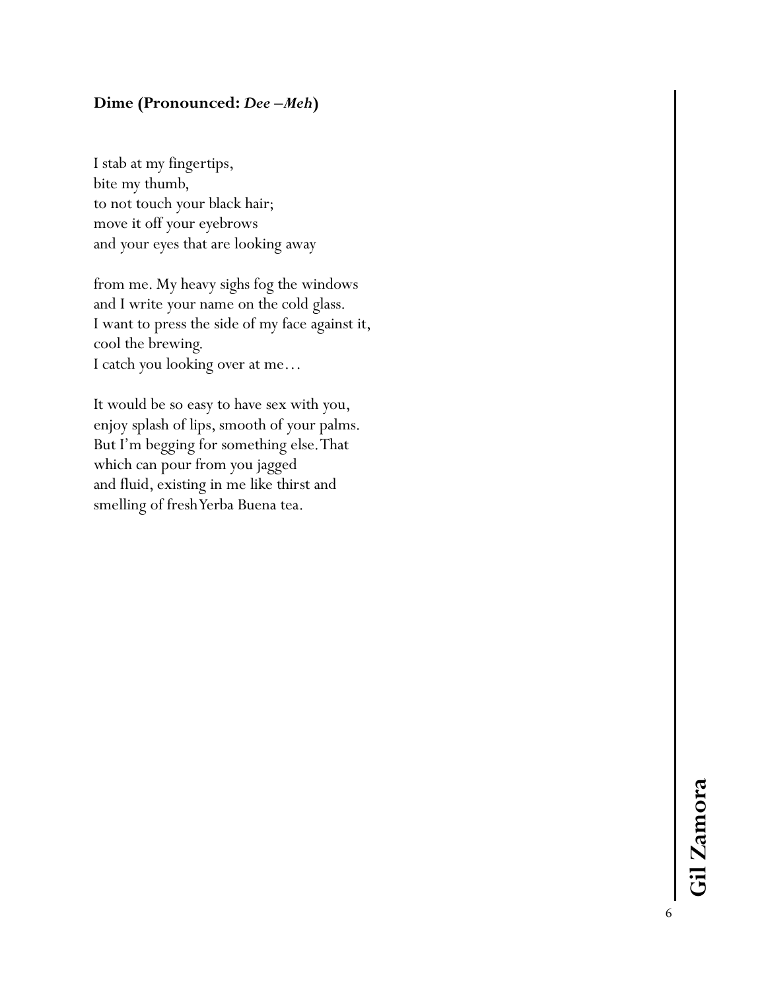## **Dime (Pronounced:** *Dee* **–***Meh* **)**

I stab at my fingertips, bite my thumb, to not touch your black hair; move it off your eyebrows and your eyes that are looking away

from me. My heavy sighs fog the windows and I write your name on the cold glass. I want to press the side of my face against it, cool the brewing. I catch you looking over at me…

It would be so easy to have sex with you, enjoy splash of lips, smooth of your palms. But I'm begging for something else. That which can pour from you jagged and fluid, existing in me like thirst and smelling of fresh Yerba Buena tea.

6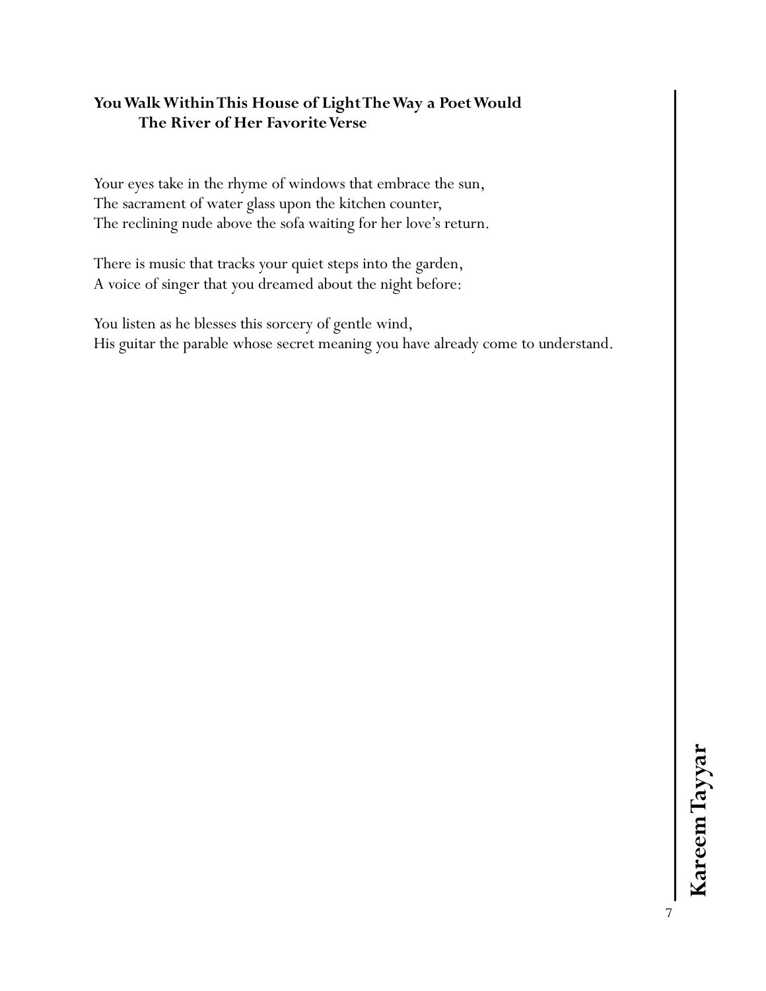## **You Walk Within This House of Light The Way a Poet Would The River of Her Favorite Verse**

Your eyes take in the rhyme of windows that embrace the sun, The sacrament of water glass upon the kitchen counter, The reclining nude above the sofa waiting for her love's return.

There is music that tracks your quiet steps into the garden, A voice of singer that you dreamed about the night before:

You listen as he blesses this sorcery of gentle wind, His guitar the parable whose secret meaning you have already come to understand.

7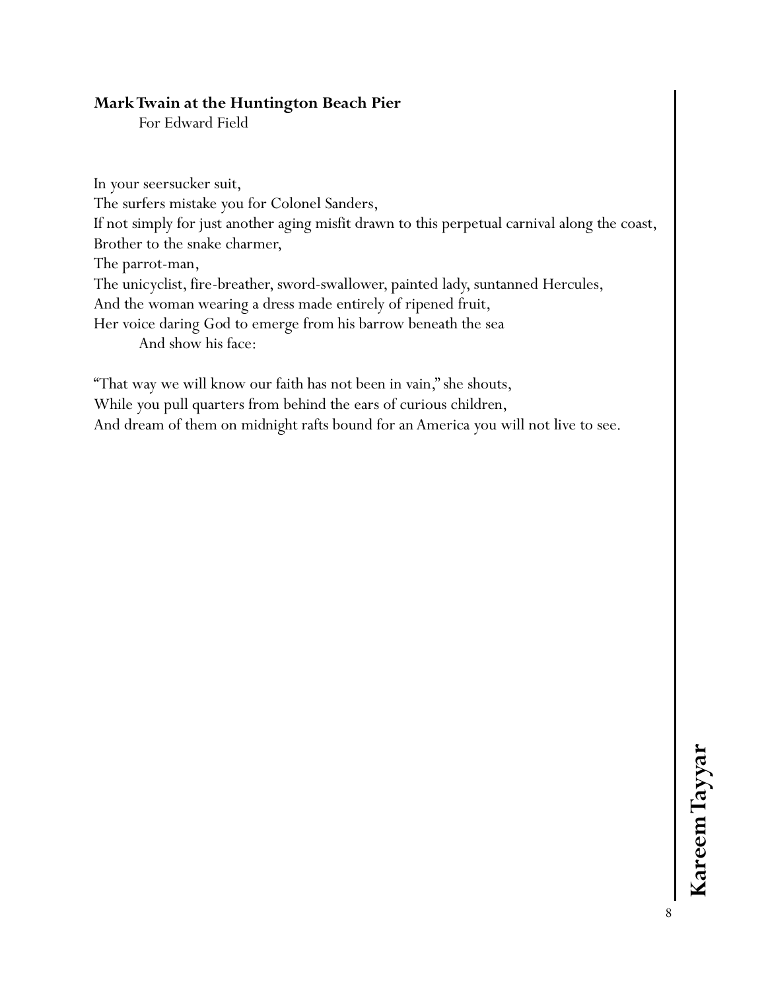## **Mark Twain at the Huntington Beach Pier**

For Edward Field

In your seersucker suit, The surfers mistake you for Colonel Sanders, If not simply for just another aging misfit drawn to this perpetual carnival along the coast, Brother to the snake charmer, The parrot-man, The unicyclist, fire-breather, sword-swallower, painted lady, suntanned Hercules, And the woman wearing a dress made entirely of ripened fruit, Her voice daring God to emerge from his barrow beneath the sea And show his face:

"That way we will know our faith has not been in vain," she shouts, While you pull quarters from behind the ears of curious children, And dream of them on midnight rafts bound for an America you will not live to see.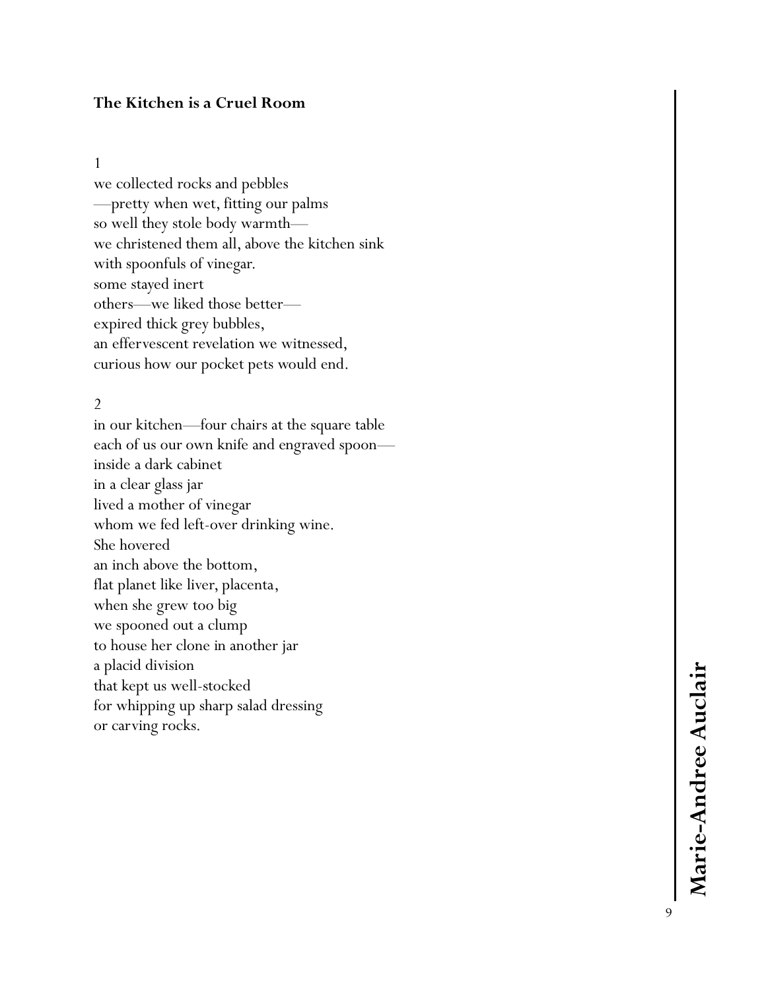#### **The Kitchen is a Cruel Room**

#### 1

we collected rocks and pebbles —pretty when wet, fitting our palms so well they stole body warmth we christened them all, above the kitchen sink with spoonfuls of vinegar. some stayed inert others —we liked those better expired thick grey bubbles, an effervescent revelation we witnessed, curious how our pocket pets would end.

#### 2

in our kitchen —four chairs at the square table each of us our own knife and engraved spoon inside a dark cabinet in a clear glass jar lived a mother of vinegar whom we fed left -over drinking wine. She hovered an inch above the bottom, flat planet like liver, placenta, when she grew too big we spooned out a clump to house her clone in another jar a placid division that kept us well -stocked for whipping up sharp salad dressing or carving rocks.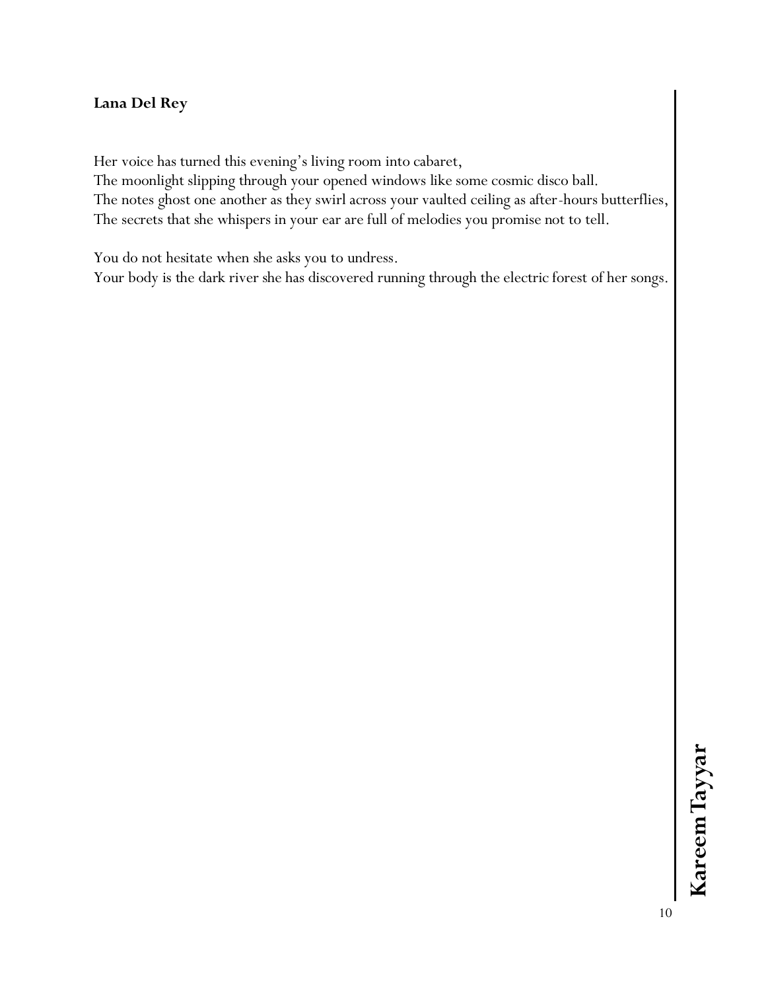## **Lana Del Rey**

Her voice has turned this evening's living room into cabaret,

The moonlight slipping through your opened windows like some cosmic disco ball. The notes ghost one another as they swirl across your vaulted ceiling as after-hours butterflies, The secrets that she whispers in your ear are full of melodies you promise not to tell.

You do not hesitate when she asks you to undress.

Your body is the dark river she has discovered running through the electric forest of her songs.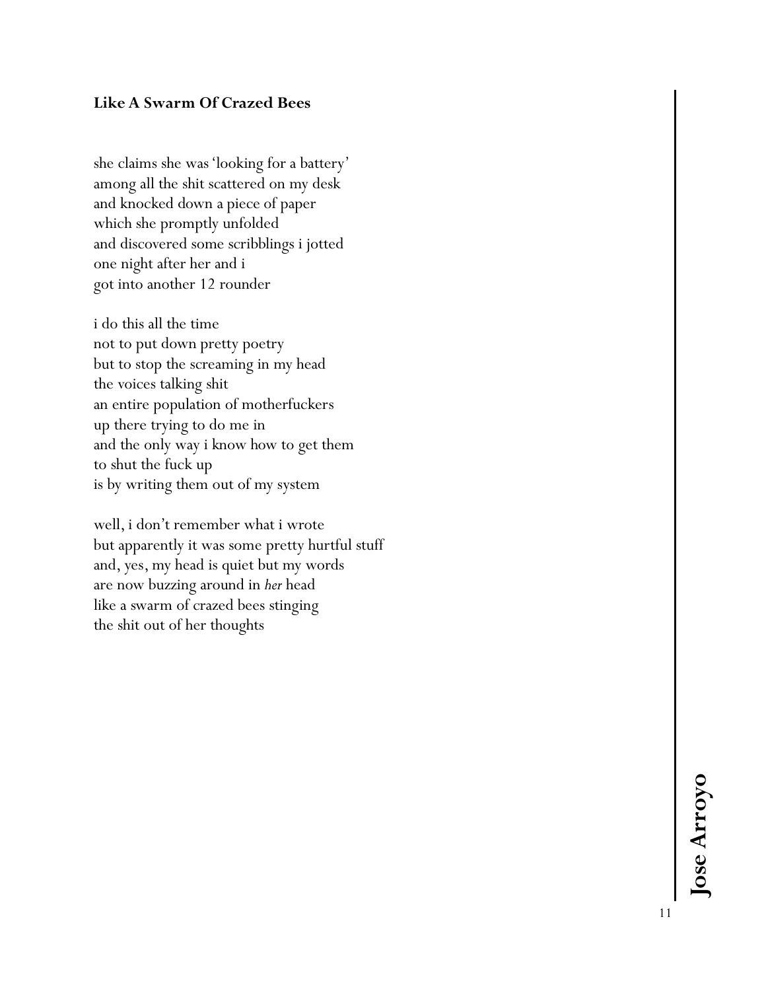## **Like A Swarm Of Crazed Bees**

she claims she was 'looking for a battery' among all the shit scattered on my desk and knocked down a piece of paper which she promptly unfolded and discovered some scribblings i jotted one night after her and i got into another 12 rounder

i do this all the time not to put down pretty poetry but to stop the screaming in my head the voices talking shit an entire population of motherfuckers up there trying to do me in and the only way i know how to get them to shut the fuck up is by writing them out of my system

well, i don't remember what i wrote but apparently it was some pretty hurtful stuff and, yes, my head is quiet but my words are now buzzing around in *her* head like a swarm of crazed bees stinging the shit out of her thoughts

> Jose Arroyo **Jose Arroyo**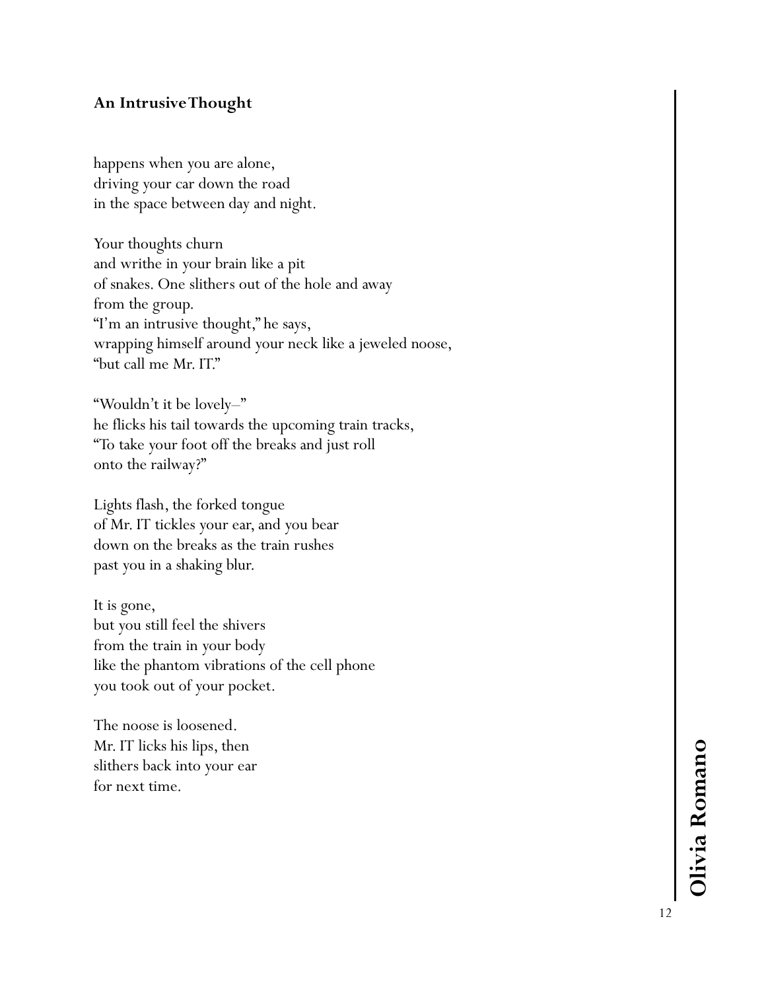## **An Intrusive Thought**

happens when you are alone, driving your car down the road in the space between day and night.

Your thoughts churn and writhe in your brain like a pit of snakes. One slithers out of the hole and away from the group. "I'm an intrusive thought," he says, wrapping himself around your neck like a jeweled noose, "but call me Mr. IT."

"Wouldn't it be lovely – " he flicks his tail towards the upcoming train tracks, "To take your foot off the breaks and just roll onto the railway?"

Lights flash, the forked tongue of Mr. IT tickles your ear, and you bear down on the breaks as the train rushes past you in a shaking blur.

It is gone, but you still feel the shivers from the train in your body like the phantom vibrations of the cell phone you took out of your pocket.

The noose is loosened. Mr. IT licks his lips, then slithers back into your ear for next time.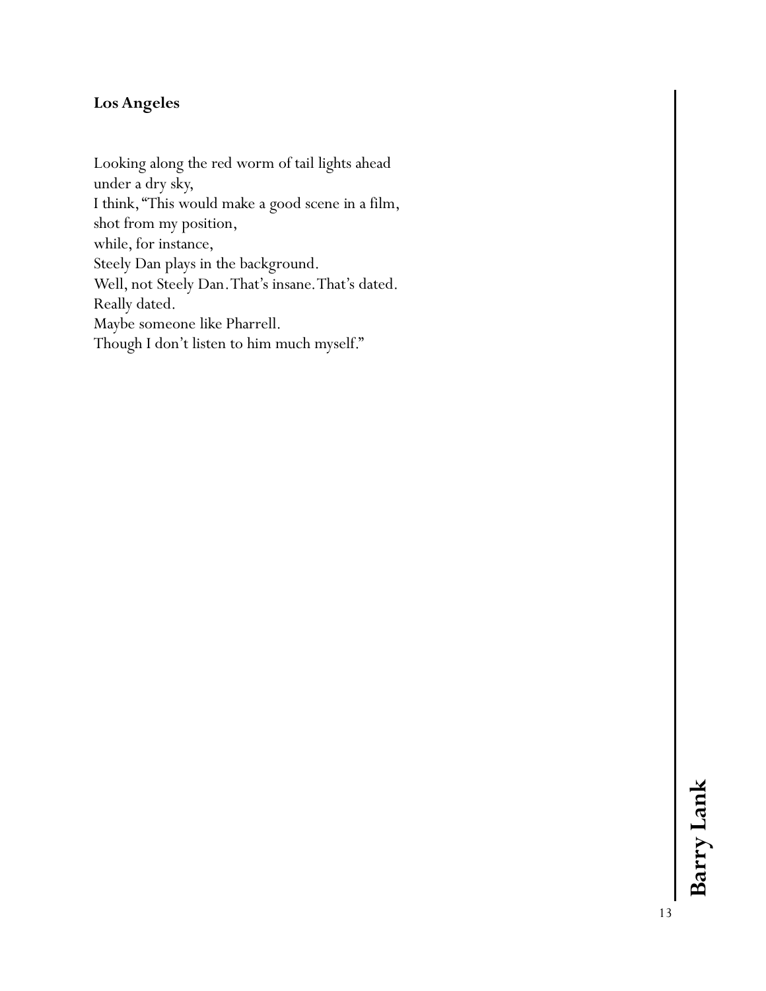## **Los Angeles**

Looking along the red worm of tail lights ahead under a dry sky, I think, "This would make a good scene in a film, shot from my position, while, for instance, Steely Dan plays in the background. Well, not Steely Dan. That's insane. That's dated. Really dated. Maybe someone like Pharrell. Though I don't listen to him much myself."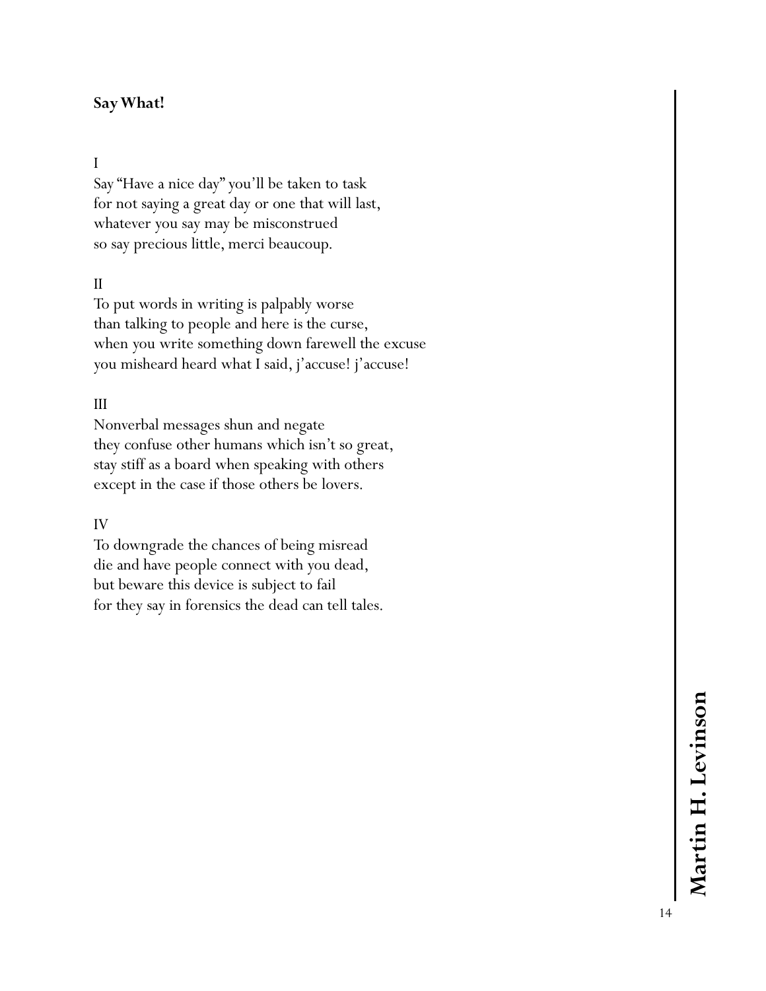## **Say What!**

## I

Say "Have a nice day" you'll be taken to task for not saying a great day or one that will last, whatever you say may be misconstrued so say precious little, merci beaucoup.

#### II

To put words in writing is palpably worse than talking to people and here is the curse, when you write something down farewell the excuse you misheard heard what I said, j'accuse! j'accuse!

#### III

Nonverbal messages shun and negate they confuse other humans which isn't so great, stay stiff as a board when speaking with others except in the case if those others be lovers.

#### IV

To downgrade the chances of being misread die and have people connect with you dead, but beware this device is subject to fail for they say in forensics the dead can tell tales.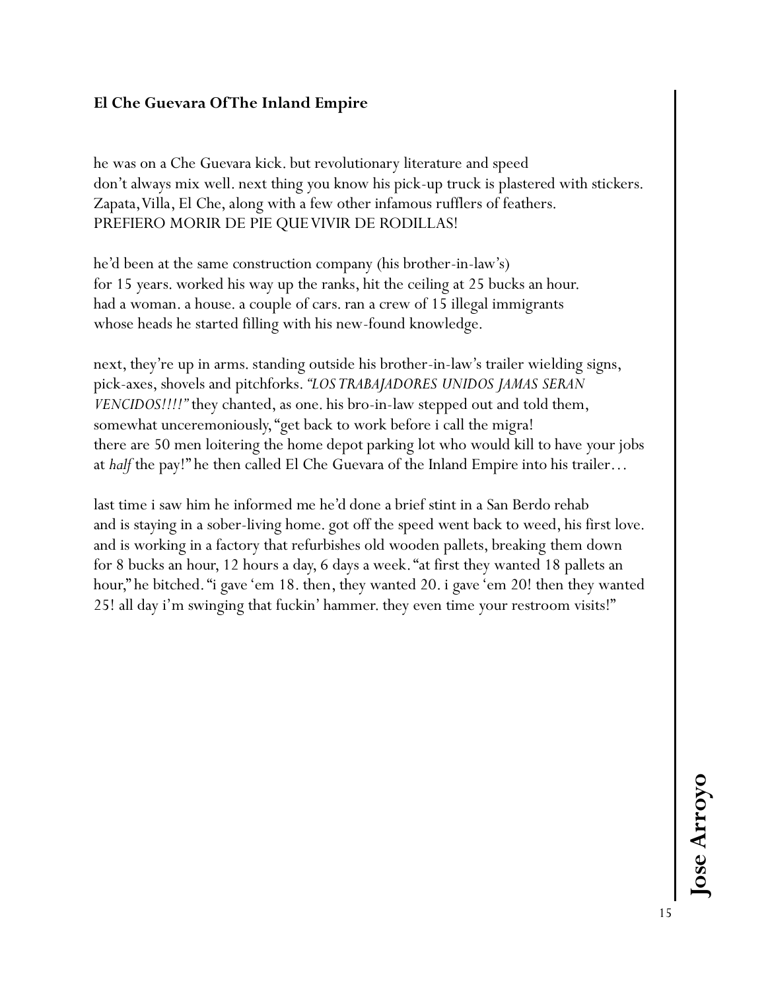## **El Che Guevara Of The Inland Empire**

he was on a Che Guevara kick. but revolutionary literature and speed don't always mix well. next thing you know his pick-up truck is plastered with stickers. Zapata, Villa, El Che, along with a few other infamous rufflers of feathers. PREFIERO MORIR DE PIE QUE VIVIR DE RODILLAS!

he'd been at the same construction company (his brother-in-law's) for 15 years. worked his way up the ranks, hit the ceiling at 25 bucks an hour. had a woman. a house. a couple of cars. ran a crew of 15 illegal immigrants whose heads he started filling with his new-found knowledge.

next, they're up in arms. standing outside his brother-in-law's trailer wielding signs, pick-axes, shovels and pitchforks. *"LOS TRABAJADORES UNIDOS JAMAS SERAN VENCIDOS!!!!"* they chanted, as one. his bro-in-law stepped out and told them, somewhat unceremoniously, "get back to work before i call the migra! there are 50 men loitering the home depot parking lot who would kill to have your jobs at *half* the pay!" he then called El Che Guevara of the Inland Empire into his trailer…

last time i saw him he informed me he'd done a brief stint in a San Berdo rehab and is staying in a sober-living home. got off the speed went back to weed, his first love. and is working in a factory that refurbishes old wooden pallets, breaking them down for 8 bucks an hour, 12 hours a day, 6 days a week. "at first they wanted 18 pallets an hour," he bitched. "i gave 'em 18. then, they wanted 20. i gave 'em 20! then they wanted 25! all day i'm swinging that fuckin' hammer. they even time your restroom visits!"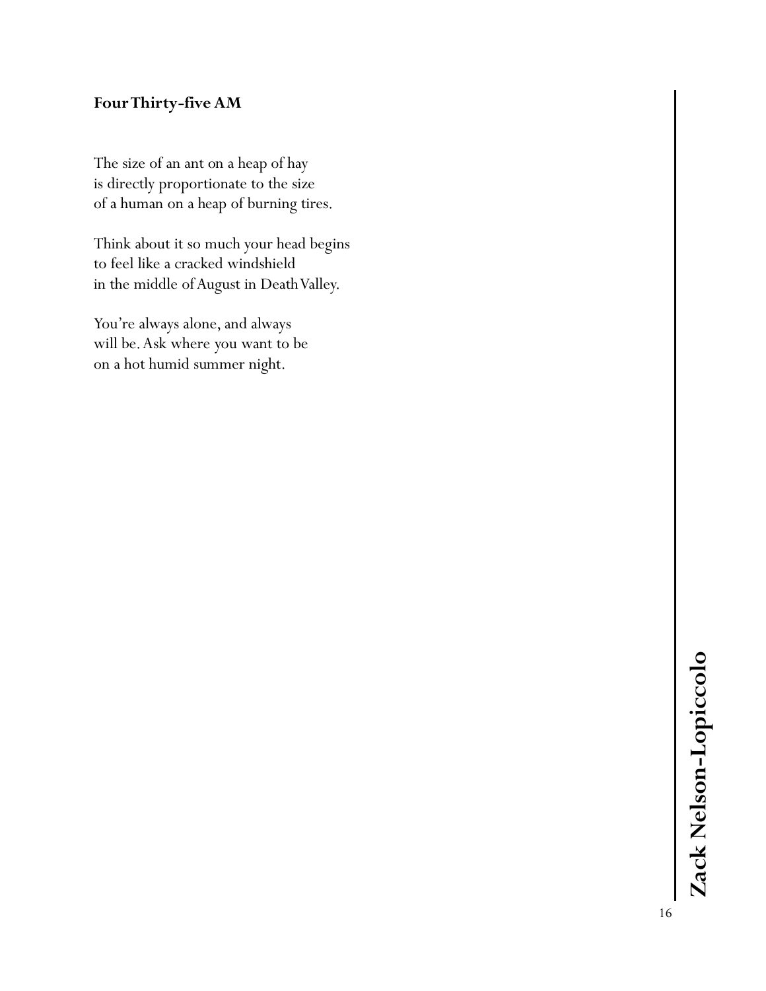## **Four Thirty -five AM**

The size of an ant on a heap of hay is directly proportionate to the size of a human on a heap of burning tires.

Think about it so much your head begins to feel like a cracked windshield in the middle of August in Death Valley.

You're always alone, and always will be. Ask where you want to be on a hot humid summer night.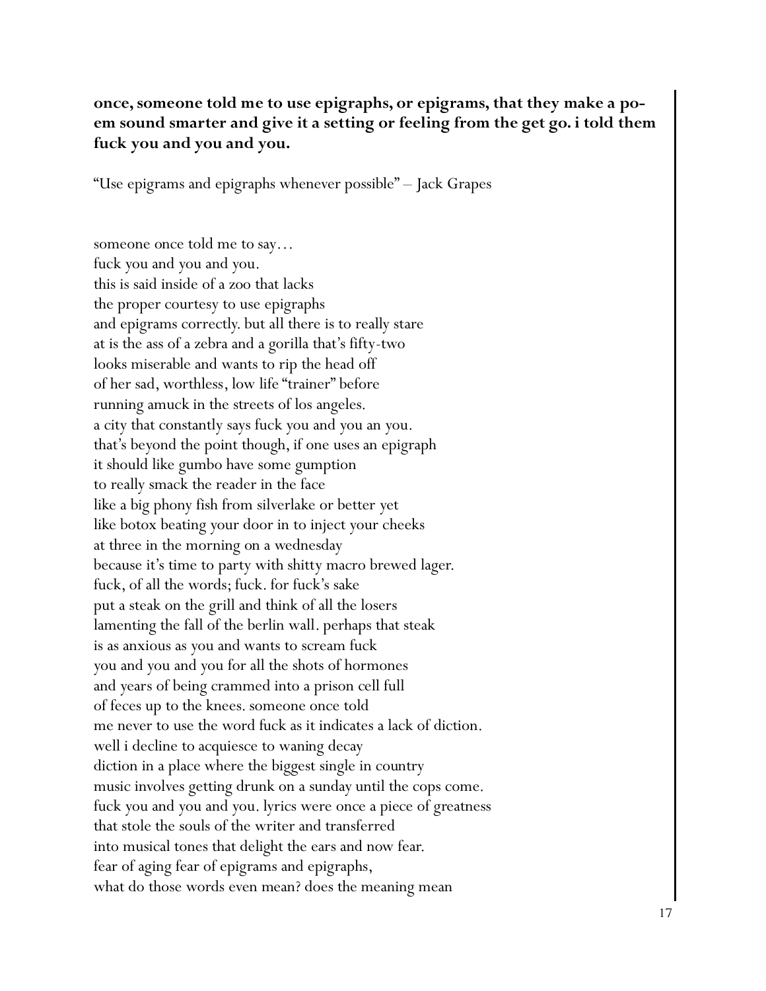## **once, someone told me to use epigraphs, or epigrams, that they make a poem sound smarter and give it a setting or feeling from the get go. i told them fuck you and you and you.**

"Use epigrams and epigraphs whenever possible" – Jack Grapes

someone once told me to say… fuck you and you and you. this is said inside of a zoo that lacks the proper courtesy to use epigraphs and epigrams correctly. but all there is to really stare at is the ass of a zebra and a gorilla that's fifty-two looks miserable and wants to rip the head off of her sad, worthless, low life "trainer" before running amuck in the streets of los angeles. a city that constantly says fuck you and you an you. that's beyond the point though, if one uses an epigraph it should like gumbo have some gumption to really smack the reader in the face like a big phony fish from silverlake or better yet like botox beating your door in to inject your cheeks at three in the morning on a wednesday because it's time to party with shitty macro brewed lager. fuck, of all the words; fuck. for fuck's sake put a steak on the grill and think of all the losers lamenting the fall of the berlin wall. perhaps that steak is as anxious as you and wants to scream fuck you and you and you for all the shots of hormones and years of being crammed into a prison cell full of feces up to the knees. someone once told me never to use the word fuck as it indicates a lack of diction. well i decline to acquiesce to waning decay diction in a place where the biggest single in country music involves getting drunk on a sunday until the cops come. fuck you and you and you. lyrics were once a piece of greatness that stole the souls of the writer and transferred into musical tones that delight the ears and now fear. fear of aging fear of epigrams and epigraphs, what do those words even mean? does the meaning mean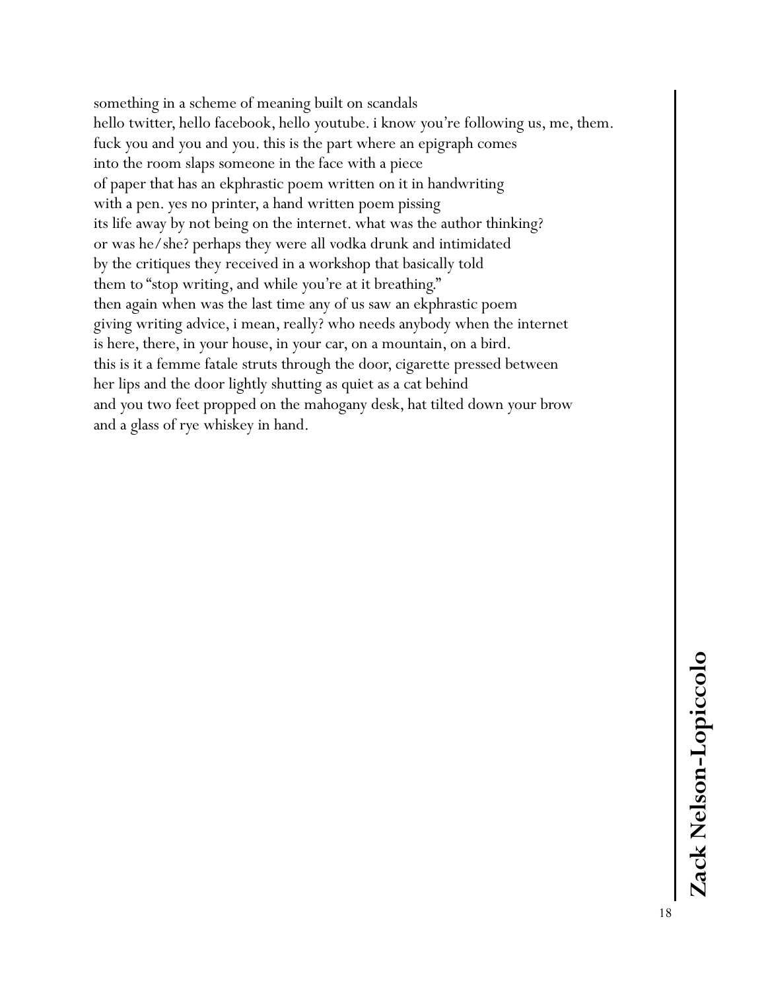something in a scheme of meaning built on scandals hello twitter, hello facebook, hello youtube. i know you're following us, me, them. fuck you and you and you. this is the part where an epigraph comes into the room slaps someone in the face with a piece of paper that has an ekphrastic poem written on it in handwriting with a pen. yes no printer, a hand written poem pissing its life away by not being on the internet. what was the author thinking? or was he/she? perhaps they were all vodka drunk and intimidated by the critiques they received in a workshop that basically told them to "stop writing, and while you're at it breathing." then again when was the last time any of us saw an ekphrastic poem giving writing advice, i mean, really? who needs anybody when the internet is here, there, in your house, in your car, on a mountain, on a bird. this is it a femme fatale struts through the door, cigarette pressed between her lips and the door lightly shutting as quiet as a cat behind and you two feet propped on the mahogany desk, hat tilted down your brow and a glass of rye whiskey in hand.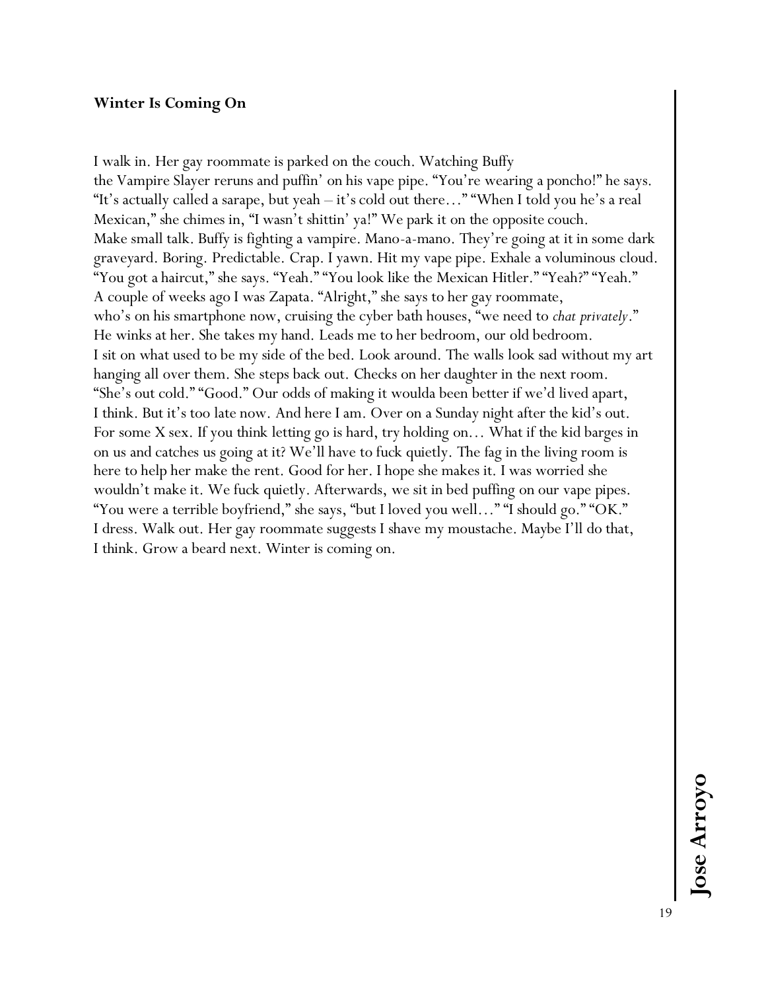#### **Winter Is Coming On**

I walk in. Her gay roommate is parked on the couch. Watching Buffy the Vampire Slayer reruns and puffin' on his vape pipe. "You're wearing a poncho!" he says. "It's actually called a sarape, but yeah – it's cold out there…" "When I told you he's a real Mexican," she chimes in, "I wasn't shittin' ya!" We park it on the opposite couch. Make small talk. Buffy is fighting a vampire. Mano-a-mano. They're going at it in some dark graveyard. Boring. Predictable. Crap. I yawn. Hit my vape pipe. Exhale a voluminous cloud. "You got a haircut," she says. "Yeah." "You look like the Mexican Hitler." "Yeah?" "Yeah." A couple of weeks ago I was Zapata. "Alright," she says to her gay roommate, who's on his smartphone now, cruising the cyber bath houses, "we need to *chat privately*." He winks at her. She takes my hand. Leads me to her bedroom, our old bedroom. I sit on what used to be my side of the bed. Look around. The walls look sad without my art hanging all over them. She steps back out. Checks on her daughter in the next room. "She's out cold." "Good." Our odds of making it woulda been better if we'd lived apart, I think. But it's too late now. And here I am. Over on a Sunday night after the kid's out. For some X sex. If you think letting go is hard, try holding on… What if the kid barges in on us and catches us going at it? We'll have to fuck quietly. The fag in the living room is here to help her make the rent. Good for her. I hope she makes it. I was worried she wouldn't make it. We fuck quietly. Afterwards, we sit in bed puffing on our vape pipes. "You were a terrible boyfriend," she says, "but I loved you well…" "I should go." "OK." I dress. Walk out. Her gay roommate suggests I shave my moustache. Maybe I'll do that, I think. Grow a beard next. Winter is coming on.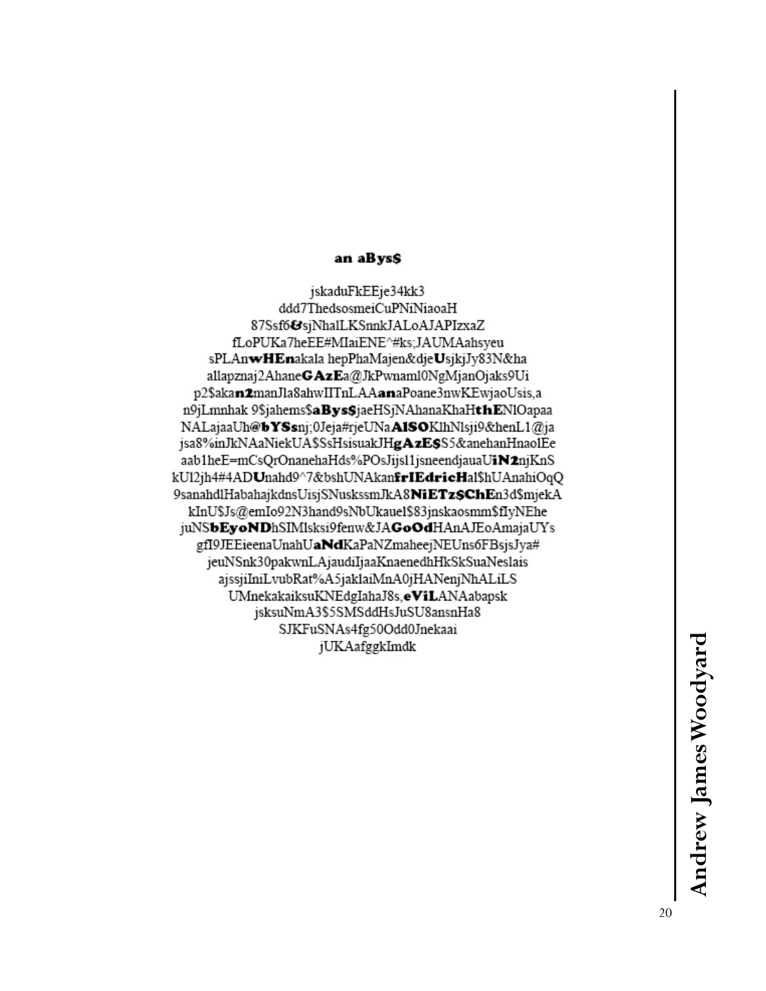#### an aBys\$

jskaduFkEEje34kk3 ddd7ThedsosmeiCuPNiNiaoaH 87Ssf6&sjNhalLKSnnkJALoAJAPIzxaZ fLoPUKa7heEE#MIaiENE^#ks;JAUMAahsyeu sPLAnwHEnakala hepPhaMajen&djeUsjkjJy83N&ha allapznaj2AhaneGAzEa@JkPwnaml0NgMjanOjaks9Ui p2\$akan2manJla8ahwIITnLAAanaPoane3nwKEwjaoUsis,a n9jLmnhak 9\$jahems\$aBys\$jaeHSjNAhanaKhaHthENlOapaa NALajaaUh@bYSsnj;0Jeja#rjeUNaA1SOKlhNlsji9&henL1@ja jsa8%inJkNAaNiekUA\$SsHsisuakJHgAzE\$S5&anehanHnao1Ee aab1heE=mCsQrOnanehaHds%POsJijs11jsneendjauaUiN2njKnS kU12jh4#4ADUnahd9^7&bshUNAkan**frIEdricH**al\$hUAnahiOqQ 9sanahdlHabahajkdnsUisjSNuskssmJkA8NiETz\$ChEn3d\$mjekA kInU\$Js@emIo92N3hand9sNbUkaue1\$83jnskaosmm\$fIyNEhe juNSbEyoNDhSIMlsksi9fenw&JAGoOdHAnAJEoAmajaUYs gfI9JEEieenaUnahUaNdKaPaNZmaheejNEUns6FBsjsJya# jeuNSnk30pakwnLAjaudiIjaaKnaenedhHkSkSuaNeslais ajssjiIniLvubRat%A5jaklaiMnA0jHANenjNhALiLS UMnekakaiksuKNEdgIahaJ8s,eViLANAabapsk jsksuNmA3\$5SMSddHsJuSU8ansnHa8 SJKFuSNAs4fg50Odd0Jnekaai jUKAafggkImdk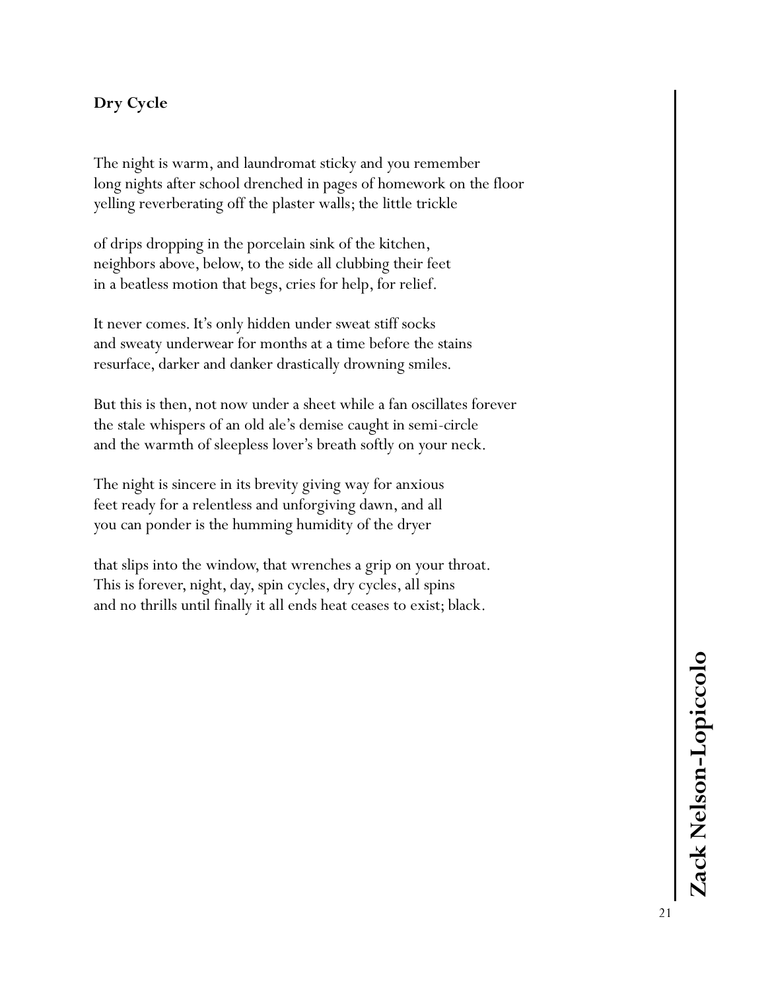## **Dry Cycle**

The night is warm, and laundromat sticky and you remember long nights after school drenched in pages of homework on the floor yelling reverberating off the plaster walls; the little trickle

of drips dropping in the porcelain sink of the kitchen, neighbors above, below, to the side all clubbing their feet in a beatless motion that begs, cries for help, for relief.

It never comes. It's only hidden under sweat stiff socks and sweaty underwear for months at a time before the stains resurface, darker and danker drastically drowning smiles.

But this is then, not now under a sheet while a fan oscillates forever the stale whispers of an old ale's demise caught in semi-circle and the warmth of sleepless lover's breath softly on your neck.

The night is sincere in its brevity giving way for anxious feet ready for a relentless and unforgiving dawn, and all you can ponder is the humming humidity of the dryer

that slips into the window, that wrenches a grip on your throat. This is forever, night, day, spin cycles, dry cycles, all spins and no thrills until finally it all ends heat ceases to exist; black.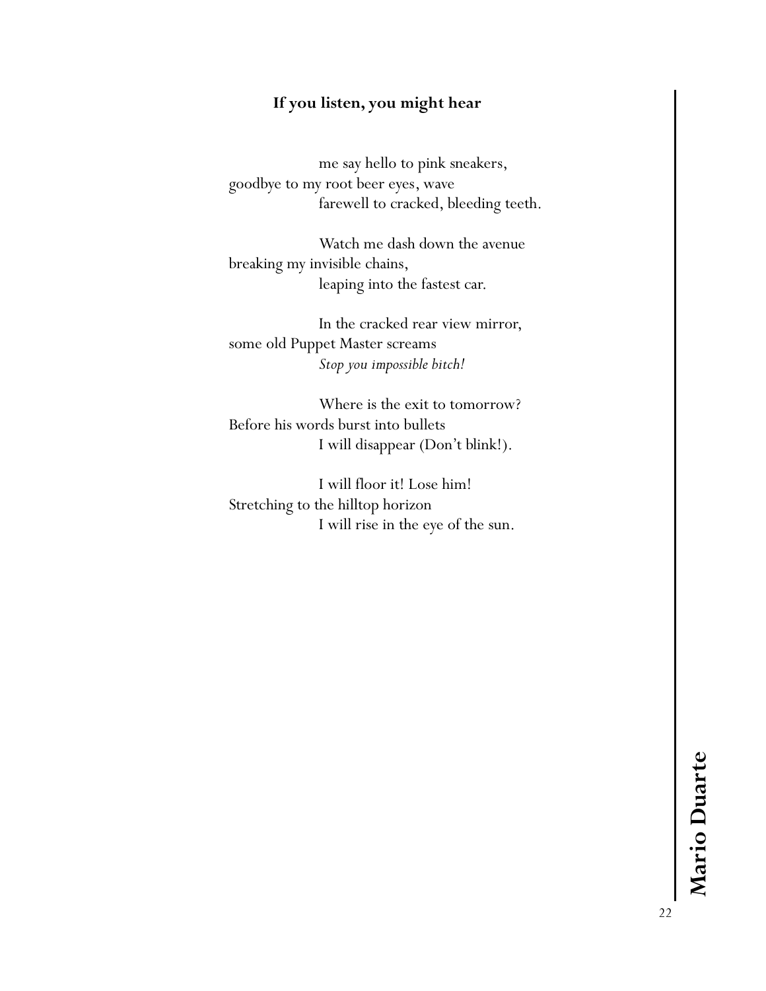## **If you listen, you might hear**

me say hello to pink sneakers, goodbye to my root beer eyes, wave farewell to cracked, bleeding teeth.

Watch me dash down the avenue breaking my invisible chains, leaping into the fastest car.

In the cracked rear view mirror, some old Puppet Master screams *Stop you impossible bitch!*

Where is the exit to tomorrow? Before his words burst into bullets I will disappear (Don't blink!).

I will floor it! Lose him! Stretching to the hilltop horizon I will rise in the eye of the sun.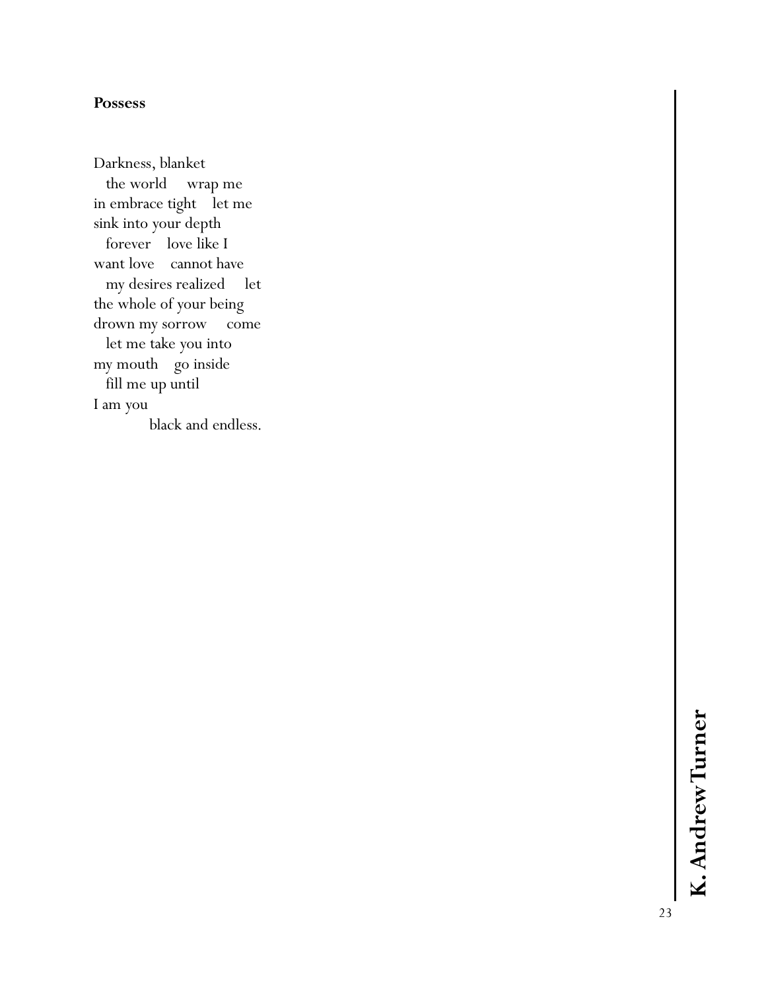#### **Possess**

Darkness, blanket the world wrap me in embrace tight let me sink into your depth forever love like I want love cannot have my desires realized let the whole of your being drown my sorrow come let me take you into my mouth go inside fill me up until I am you black and endless.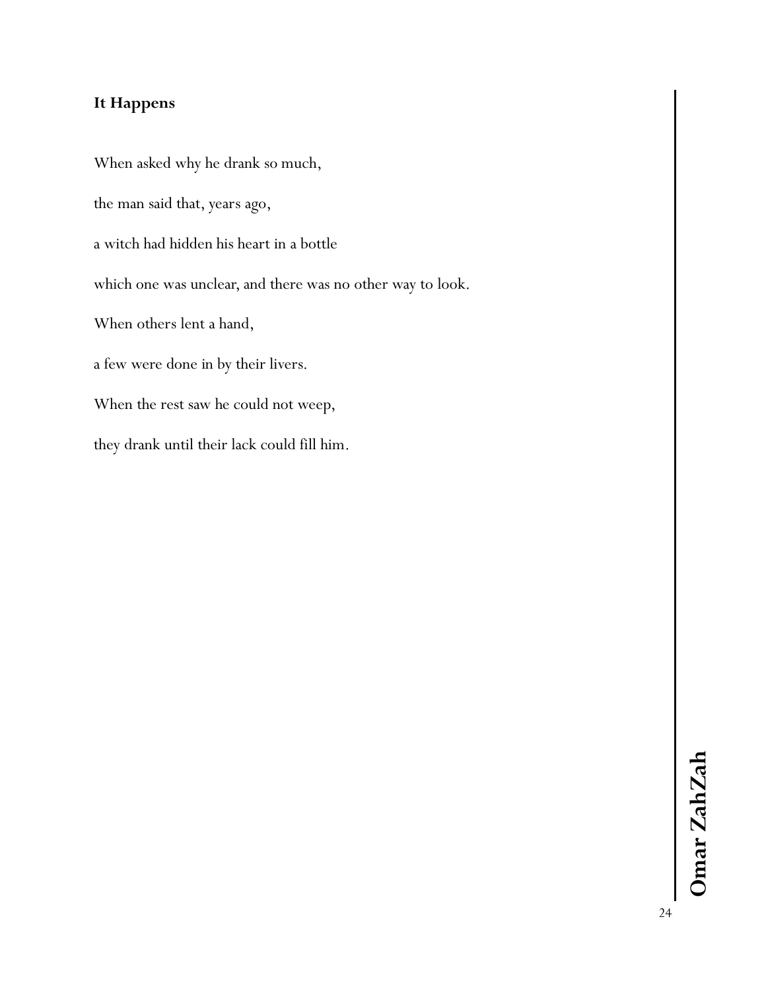## **It Happens**

When asked why he drank so much, the man said that, years ago, a witch had hidden his heart in a bottle which one was unclear, and there was no other way to look. When others lent a hand, a few were done in by their livers. When the rest saw he could not weep,

they drank until their lack could fill him.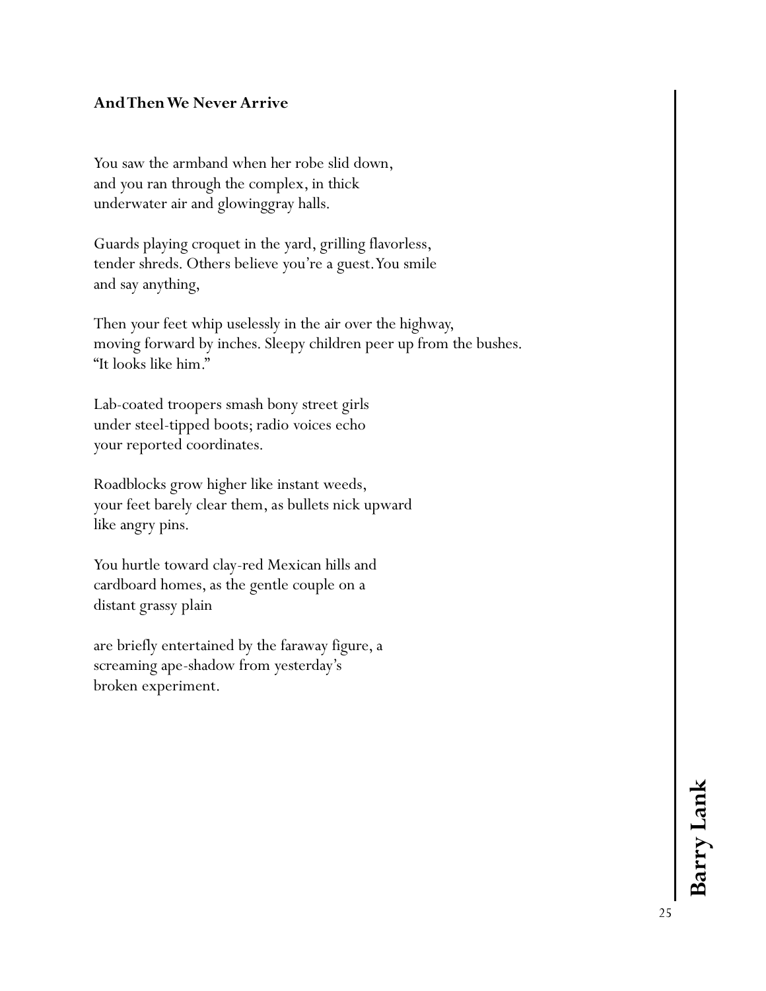## **And Then We Never Arrive**

You saw the armband when her robe slid down, and you ran through the complex, in thick underwater air and glowinggray halls.

Guards playing croquet in the yard, grilling flavorless, tender shreds. Others believe you're a guest. You smile and say anything,

Then your feet whip uselessly in the air over the highway, moving forward by inches. Sleepy children peer up from the bushes. "It looks like him."

Lab-coated troopers smash bony street girls under steel-tipped boots; radio voices echo your reported coordinates.

Roadblocks grow higher like instant weeds, your feet barely clear them, as bullets nick upward like angry pins.

You hurtle toward clay-red Mexican hills and cardboard homes, as the gentle couple on a distant grassy plain

are briefly entertained by the faraway figure, a screaming ape-shadow from yesterday's broken experiment.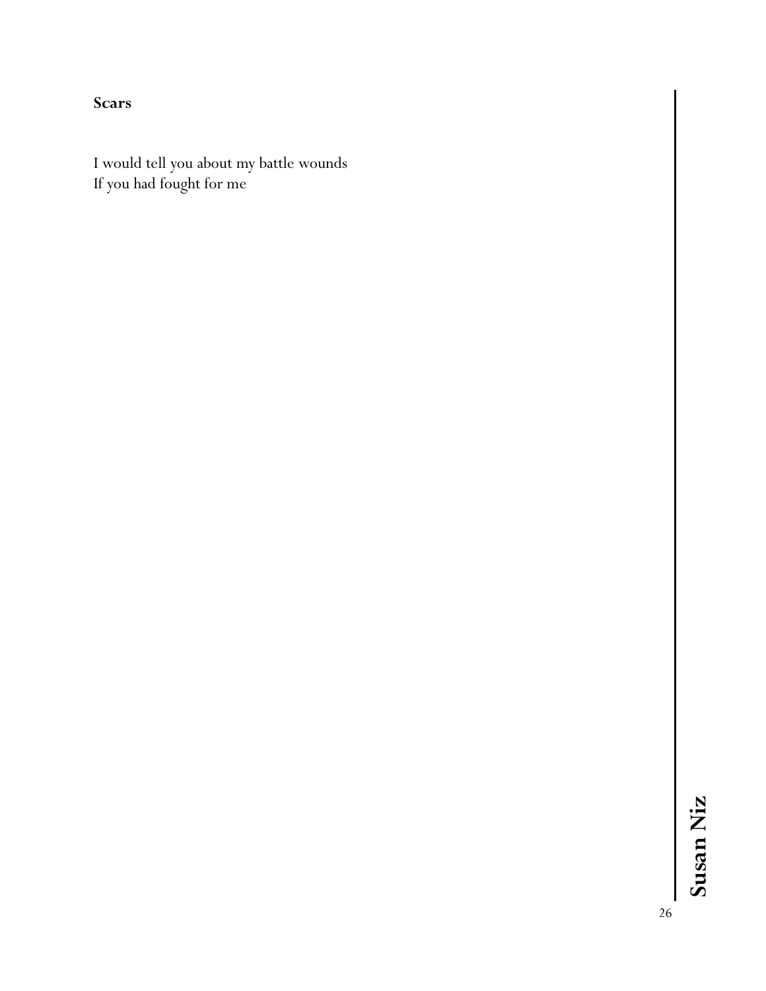**Scars**

I would tell you about my battle wounds If you had fought for me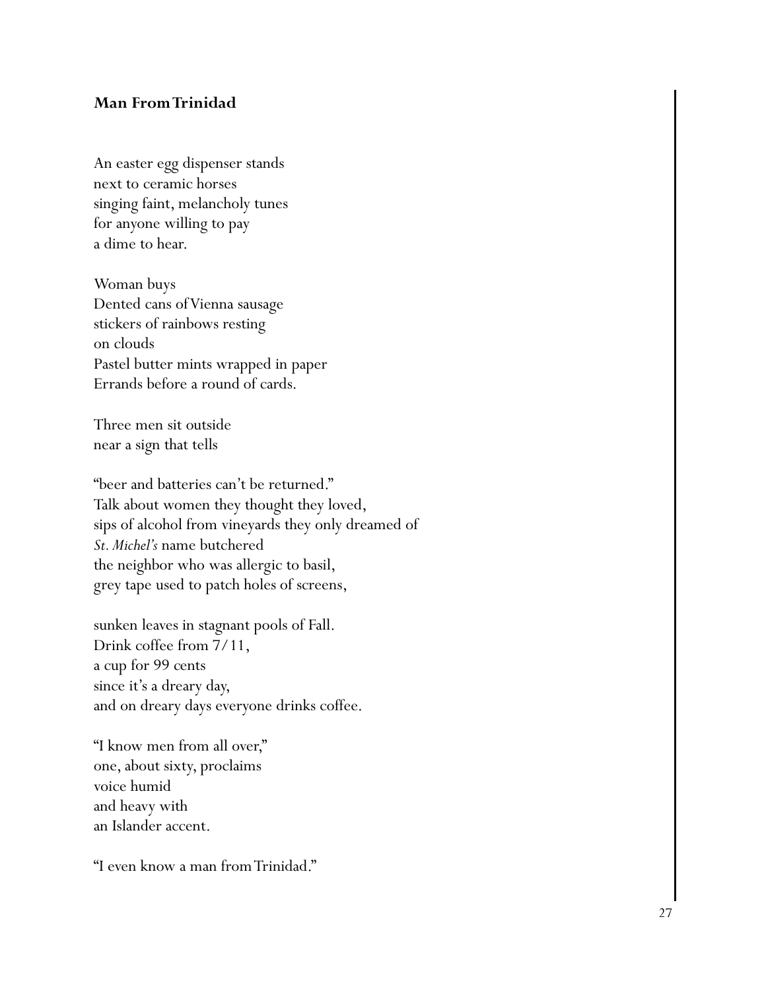#### **Man From Trinidad**

An easter egg dispenser stands next to ceramic horses singing faint, melancholy tunes for anyone willing to pay a dime to hear.

Woman buys Dented cans of Vienna sausage stickers of rainbows resting on clouds Pastel butter mints wrapped in paper Errands before a round of cards.

Three men sit outside near a sign that tells

"beer and batteries can't be returned." Talk about women they thought they loved, sips of alcohol from vineyards they only dreamed of *St. Michel's* name butchered the neighbor who was allergic to basil, grey tape used to patch holes of screens,

sunken leaves in stagnant pools of Fall. Drink coffee from 7/11, a cup for 99 cents since it's a dreary day, and on dreary days everyone drinks coffee.

"I know men from all over," one, about sixty, proclaims voice humid and heavy with an Islander accent.

"I even know a man from Trinidad."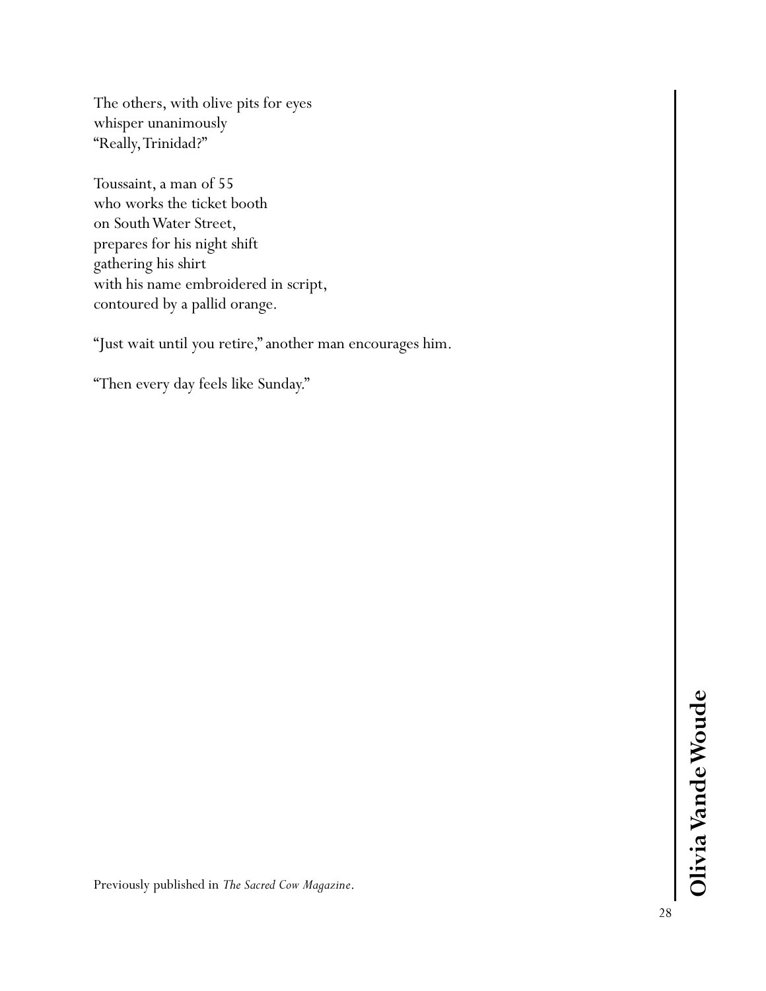The others, with olive pits for eyes whisper unanimously "Really, Trinidad?"

Toussaint, a man of 55 who works the ticket booth on South Water Street, prepares for his night shift gathering his shirt with his name embroidered in script, contoured by a pallid orange.

"Just wait until you retire," another man encourages him.

"Then every day feels like Sunday."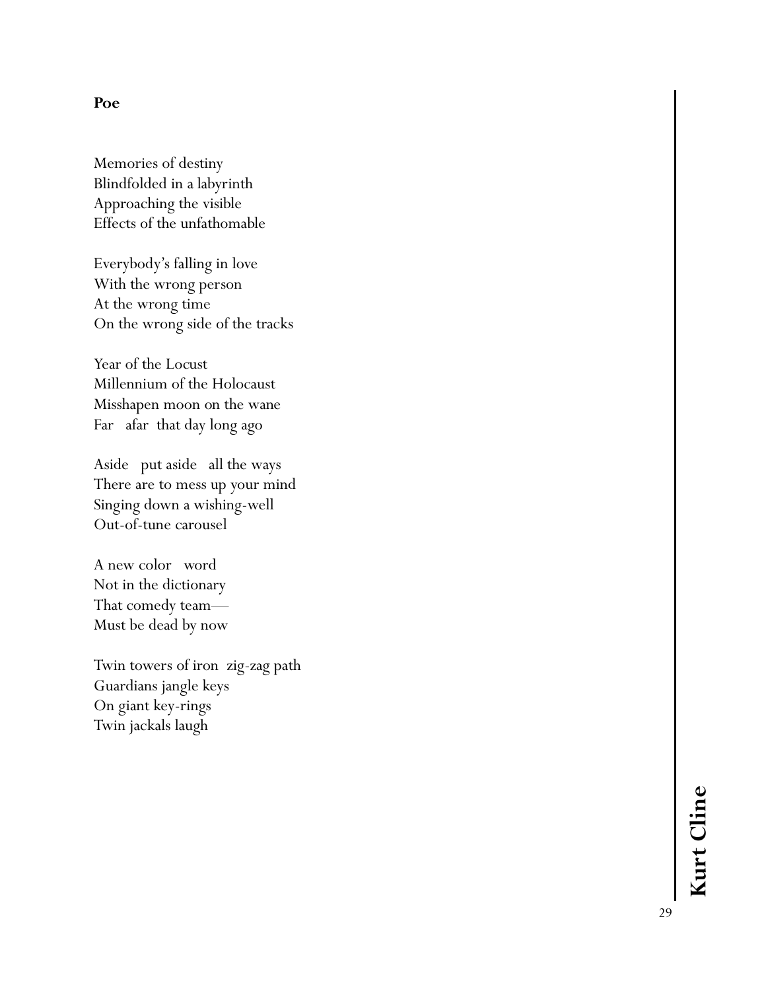#### **Poe**

Memories of destiny Blindfolded in a labyrinth Approaching the visible Effects of the unfathomable

Everybody's falling in love With the wrong person At the wrong time On the wrong side of the tracks

Year of the Locust Millennium of the Holocaust Misshapen moon on the wane Far afar that day long ago

Aside put aside all the ways There are to mess up your mind Singing down a wishing -well Out -of-tune carousel

A new color word Not in the dictionary That comedy team — Must be dead by now

Twin towers of iron zig -zag path Guardians jangle keys On giant key -rings Twin jackals laugh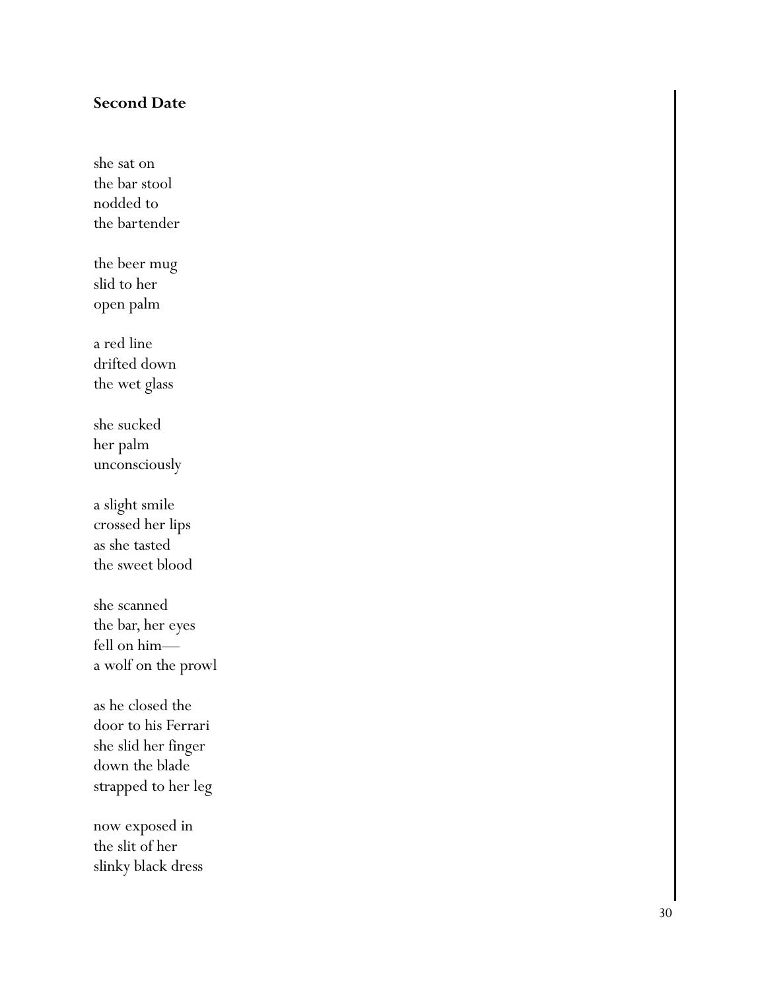#### **Second Date**

she sat on the bar stool nodded to the bartender

the beer mug slid to her open palm

a red line drifted down the wet glass

she sucked her palm unconsciously

a slight smile crossed her lips as she tasted the sweet blood

she scanned the bar, her eyes fell on him a wolf on the prowl

as he closed the door to his Ferrari she slid her finger down the blade strapped to her leg

now exposed in the slit of her slinky black dress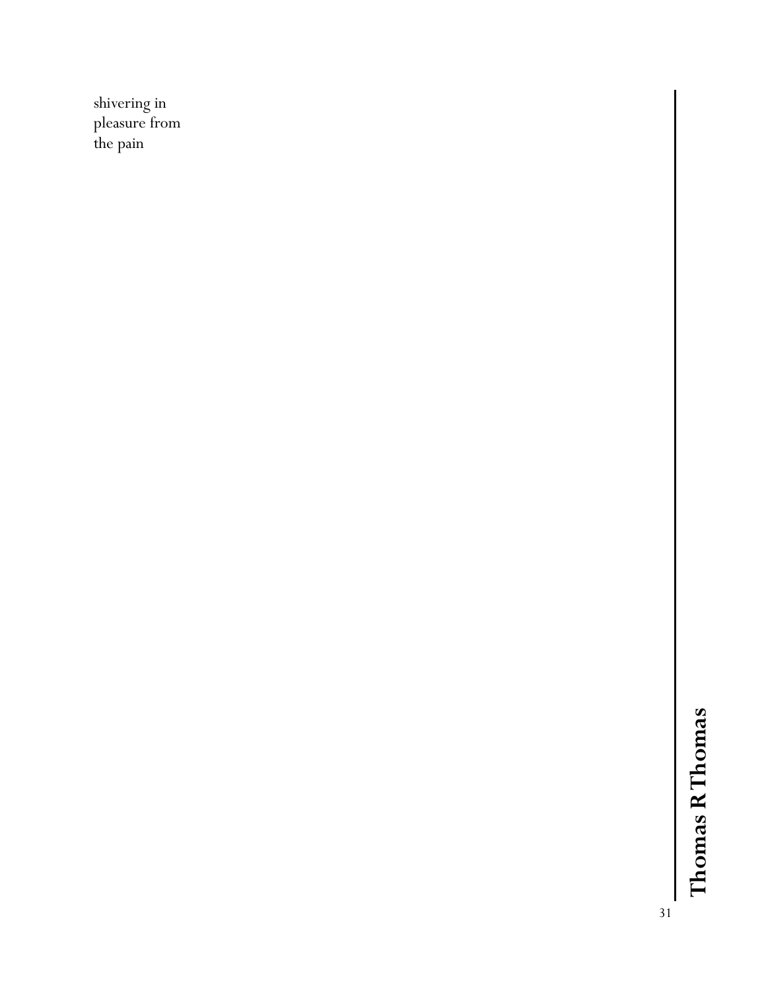shivering in pleasure from the pain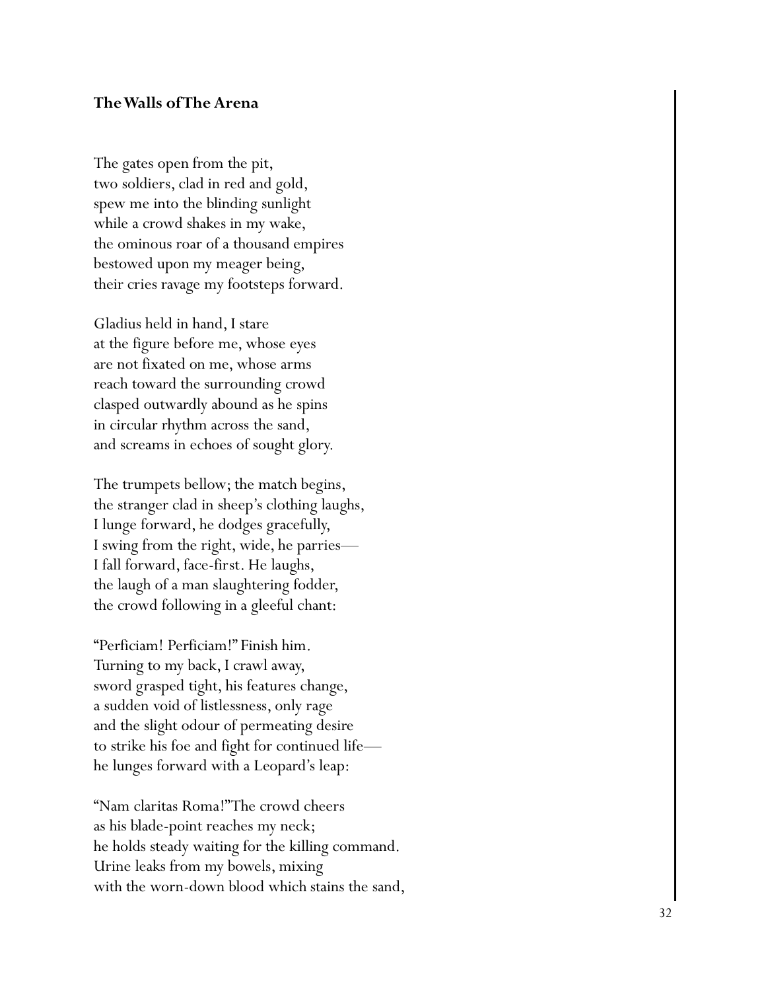#### **The Walls of The Arena**

The gates open from the pit, two soldiers, clad in red and gold, spew me into the blinding sunlight while a crowd shakes in my wake, the ominous roar of a thousand empires bestowed upon my meager being, their cries ravage my footsteps forward.

Gladius held in hand, I stare at the figure before me, whose eyes are not fixated on me, whose arms reach toward the surrounding crowd clasped outwardly abound as he spins in circular rhythm across the sand, and screams in echoes of sought glory.

The trumpets bellow; the match begins, the stranger clad in sheep's clothing laughs, I lunge forward, he dodges gracefully, I swing from the right, wide, he parries — I fall forward, face -first. He laughs, the laugh of a man slaughtering fodder, the crowd following in a gleeful chant:

"Perficiam! Perficiam!" Finish him. Turning to my back, I crawl away, sword grasped tight, his features change, a sudden void of listlessness, only rage and the slight odour of permeating desire to strike his foe and fight for continued life he lunges forward with a Leopard's leap:

"Nam claritas Roma!" The crowd cheers as his blade -point reaches my neck; he holds steady waiting for the killing command. Urine leaks from my bowels, mixing with the worn -down blood which stains the sand,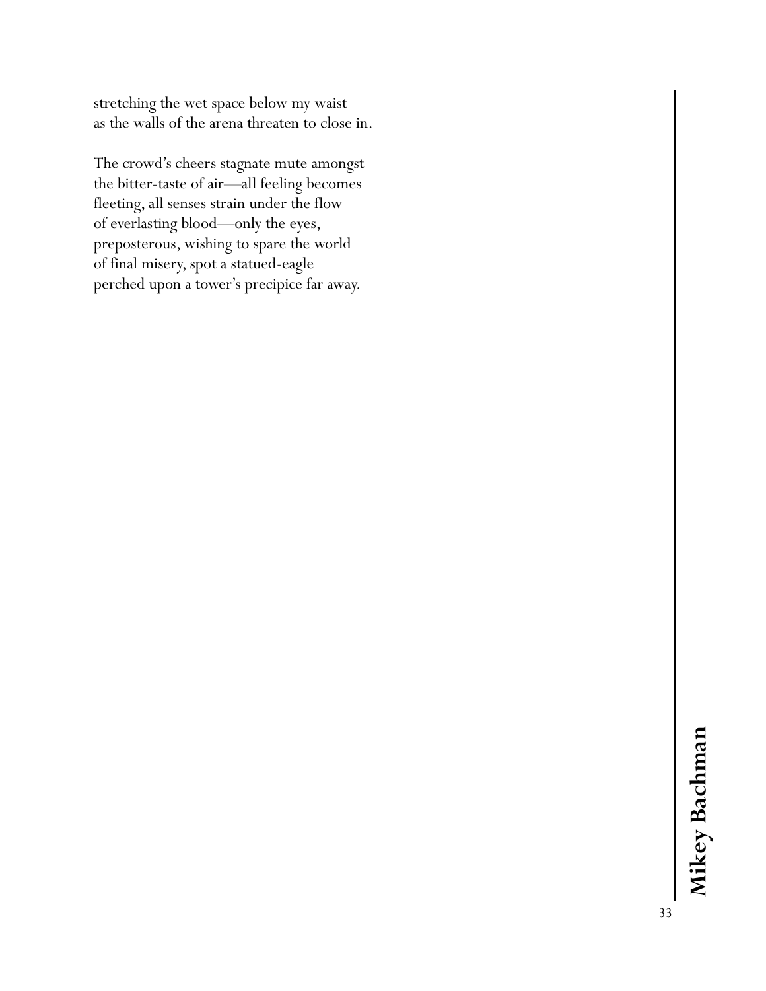stretching the wet space below my waist as the walls of the arena threaten to close in.

The crowd's cheers stagnate mute amongst the bitter-taste of air—all feeling becomes fleeting, all senses strain under the flow of everlasting blood—only the eyes, preposterous, wishing to spare the world of final misery, spot a statued-eagle perched upon a tower's precipice far away.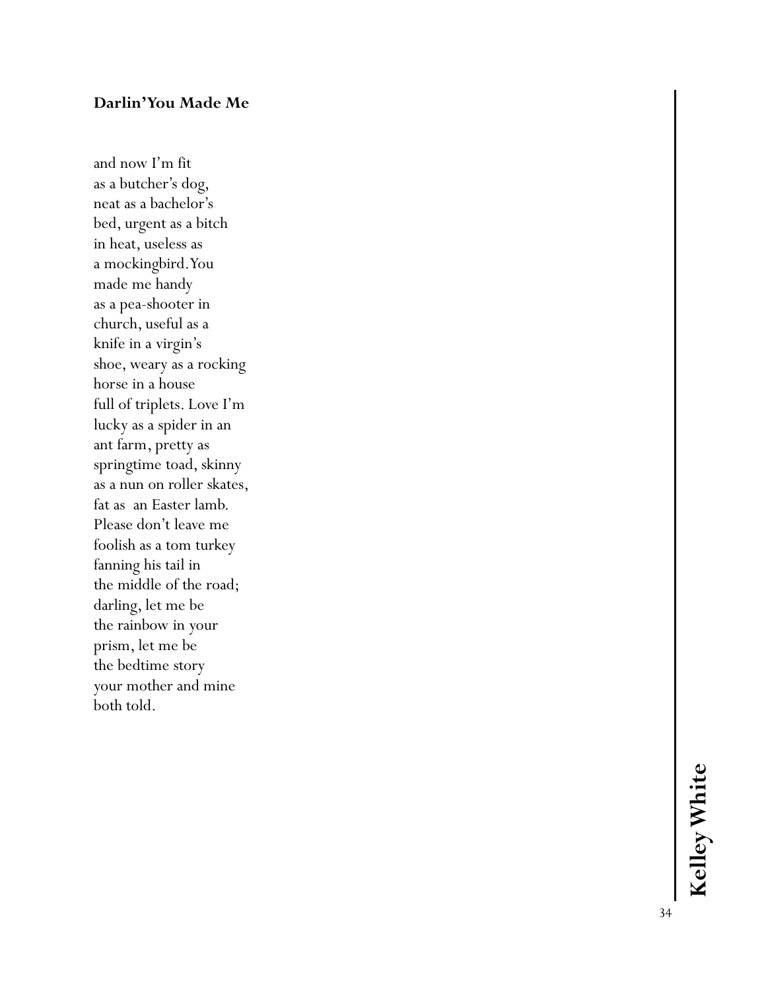#### **Darlin' You Made Me**

and now I'm fit as a butcher's dog, neat as a bachelor's bed, urgent as a bitch in heat, useless as a mockingbird. You made me handy as a pea -shooter in church, useful as a knife in a virgin's shoe, weary as a rocking horse in a house full of triplets. Love I'm lucky as a spider in an ant farm, pretty as springtime toad, skinny as a nun on roller skates, fat as an Easter lamb. Please don't leave me foolish as a tom turkey fanning his tail in the middle of the road; darling, let me be the rainbow in your prism, let me be the bedtime story your mother and mine both told.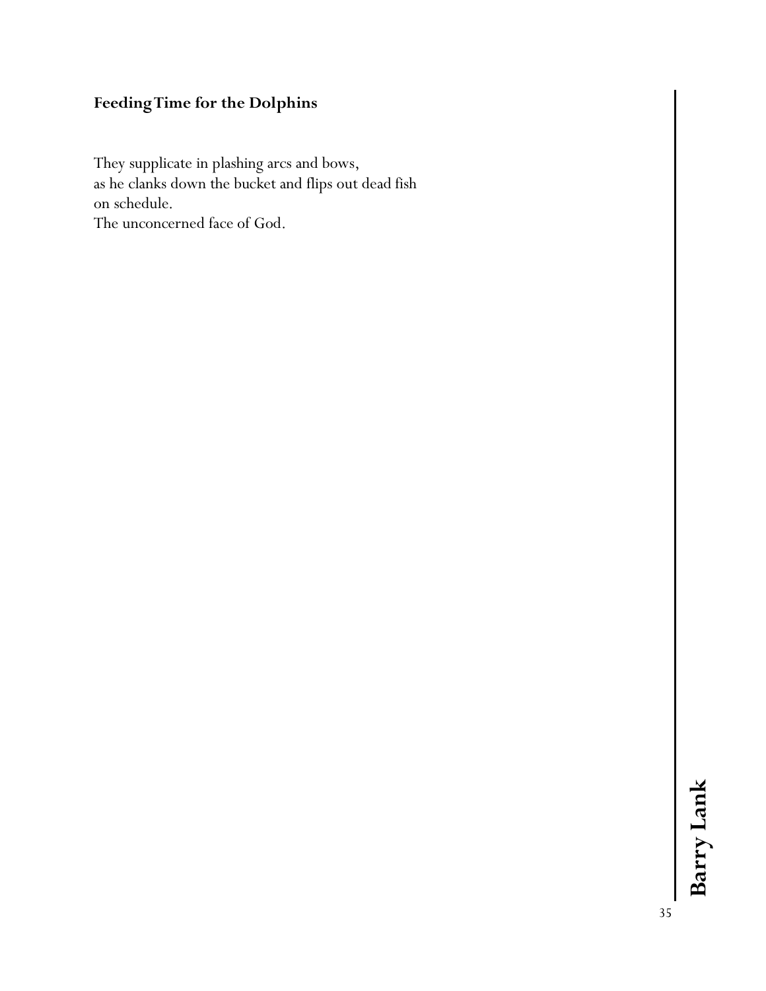# **Feeding Time for the Dolphins**

They supplicate in plashing arcs and bows, as he clanks down the bucket and flips out dead fish on schedule. The unconcerned face of God.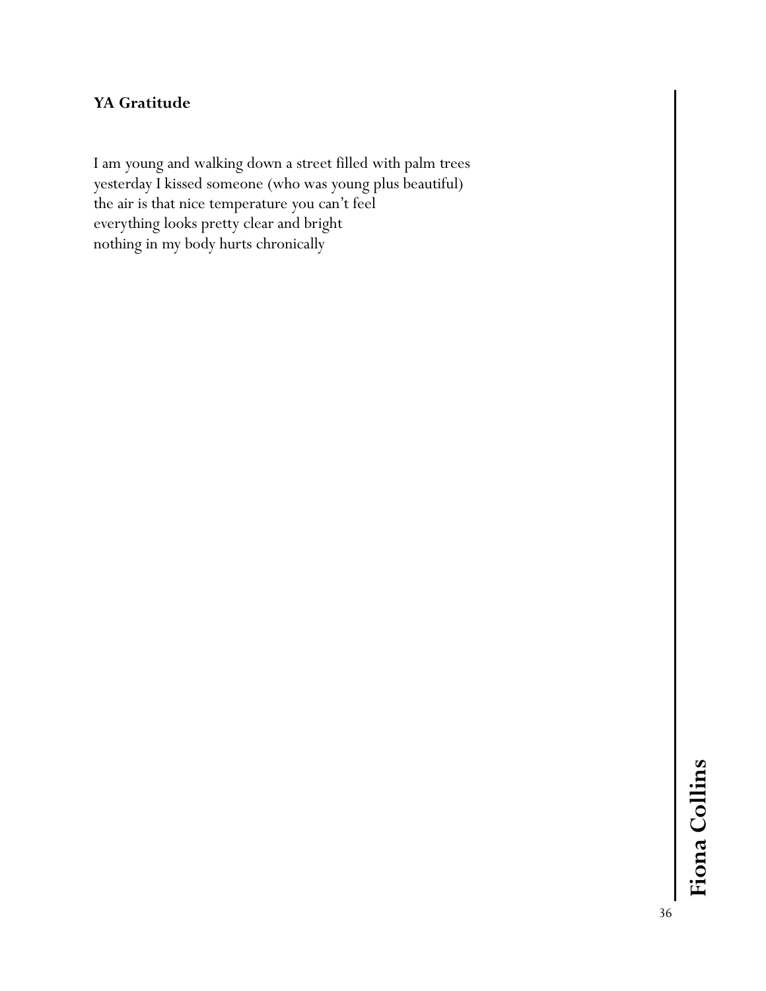# **YA Gratitude**

I am young and walking down a street filled with palm trees yesterday I kissed someone (who was young plus beautiful) the air is that nice temperature you can't feel everything looks pretty clear and bright nothing in my body hurts chronically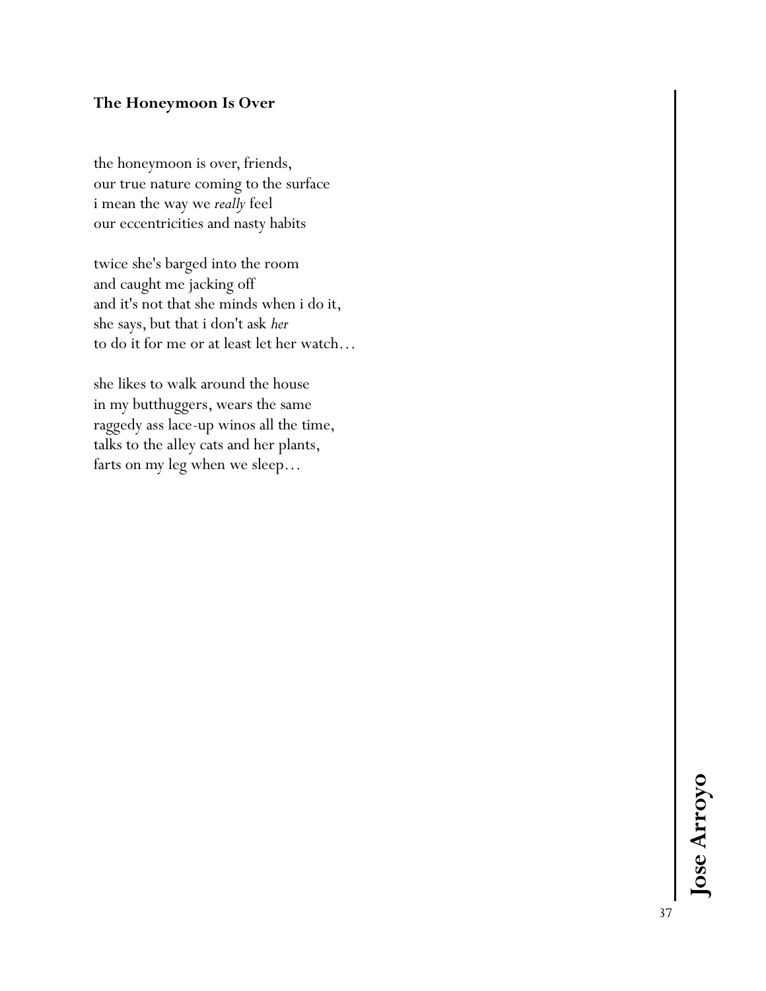## **The Honeymoon Is Over**

the honeymoon is over, friends, our true nature coming to the surface i mean the way we *really* feel our eccentricities and nasty habits

twice she's barged into the room and caught me jacking off and it's not that she minds when i do it, she says, but that i don't ask *her* to do it for me or at least let her watch…

she likes to walk around the house in my butthuggers, wears the same raggedy ass lace-up winos all the time, talks to the alley cats and her plants, farts on my leg when we sleep…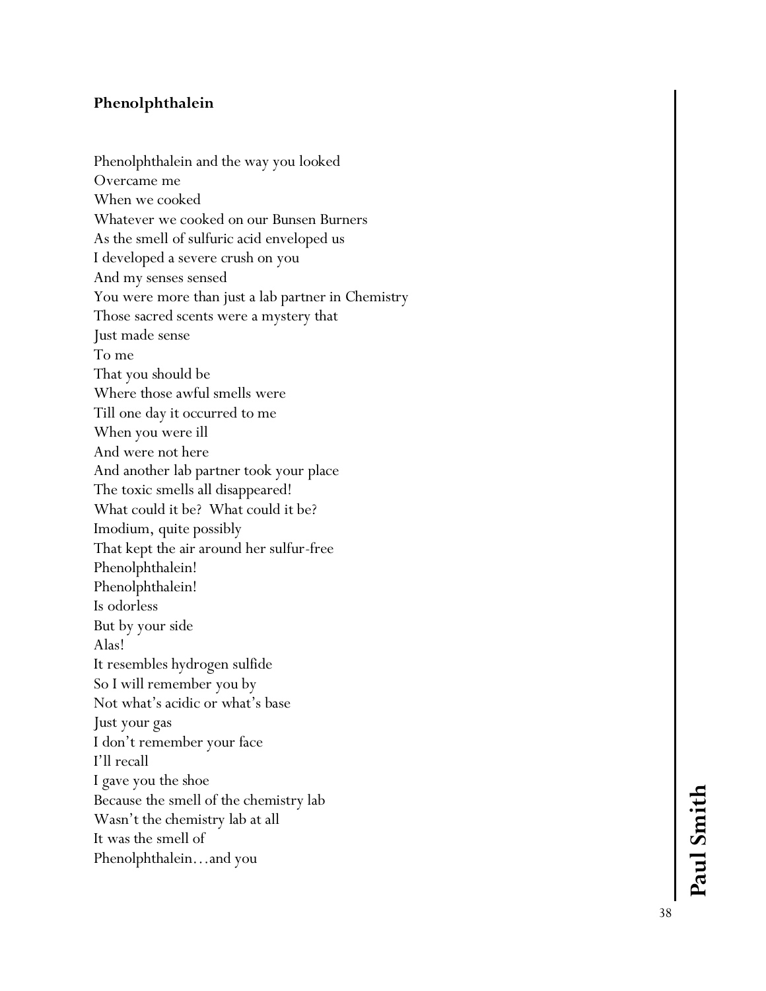## **Phenolphthalein**

Phenolphthalein and the way you looked Overcame me When we cooked Whatever we cooked on our Bunsen Burners As the smell of sulfuric acid enveloped us I developed a severe crush on you And my senses sensed You were more than just a lab partner in Chemistry Those sacred scents were a mystery that Just made sense To me That you should be Where those awful smells were Till one day it occurred to me When you were ill And were not here And another lab partner took your place The toxic smells all disappeared! What could it be? What could it be? Imodium, quite possibly That kept the air around her sulfur -free Phenolphthalein! Phenolphthalein! Is odorless But by your side Alas! It resembles hydrogen sulfide So I will remember you by Not what's acidic or what's base Just your gas I don't remember your face I'll recall I gave you the shoe Because the smell of the chemistry lab Wasn't the chemistry lab at all It was the smell of Phenolphthalein…and you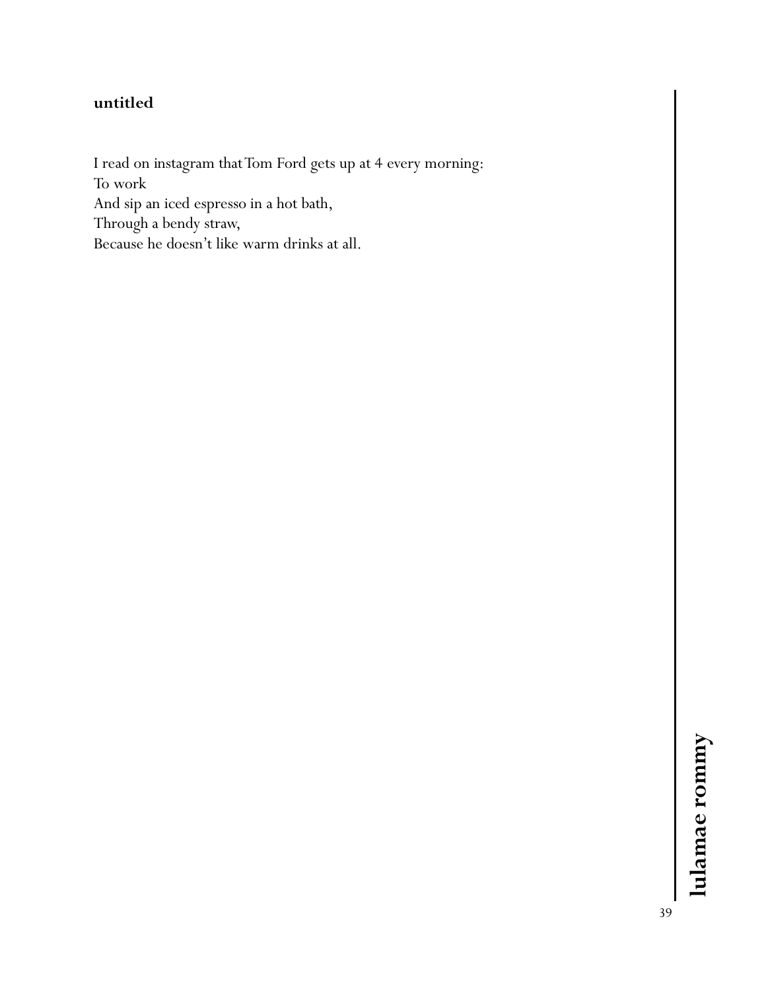# **untitled**

I read on instagram that Tom Ford gets up at 4 every morning: To work And sip an iced espresso in a hot bath, Through a bendy straw, Because he doesn't like warm drinks at all.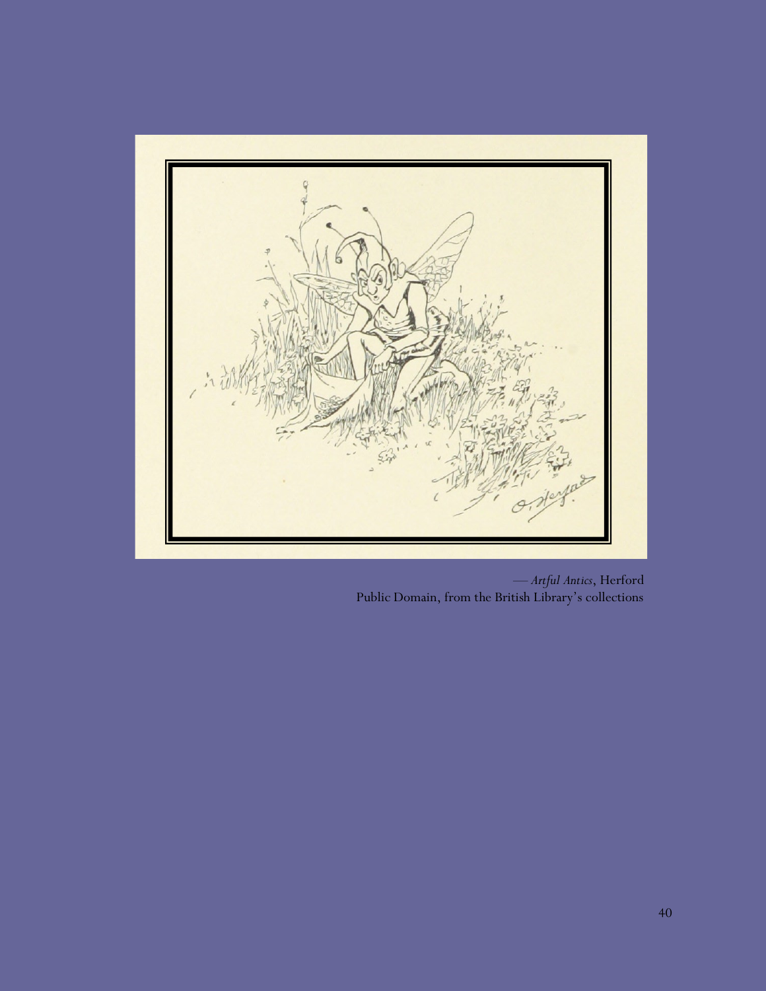

*— Artful Antics*, Herford Public Domain, from the British Library's collections